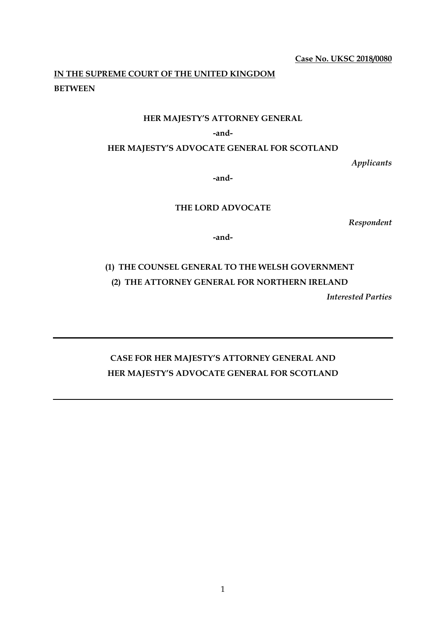**Case No. UKSC 2018/0080** 

# **IN THE SUPREME COURT OF THE UNITED KINGDOM BETWEEN**

## **HER MAJESTY'S ATTORNEY GENERAL**

#### **-and-**

**HER MAJESTY'S ADVOCATE GENERAL FOR SCOTLAND** 

*Applicants*

**-and-**

# **THE LORD ADVOCATE**

*Respondent*

**-and-** 

# **(1) THE COUNSEL GENERAL TO THE WELSH GOVERNMENT (2) THE ATTORNEY GENERAL FOR NORTHERN IRELAND**

*Interested Parties* 

# **CASE FOR HER MAJESTY'S ATTORNEY GENERAL AND HER MAJESTY'S ADVOCATE GENERAL FOR SCOTLAND**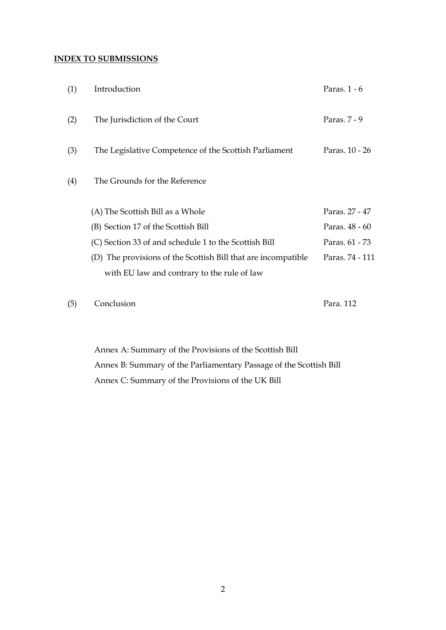# **INDEX TO SUBMISSIONS**

| (1) | Introduction                                                                                                                                                          | Paras. $1 - 6$                    |
|-----|-----------------------------------------------------------------------------------------------------------------------------------------------------------------------|-----------------------------------|
| (2) | The Jurisdiction of the Court                                                                                                                                         | Paras. 7 - 9                      |
| (3) | The Legislative Competence of the Scottish Parliament                                                                                                                 | Paras. 10 - 26                    |
| (4) | The Grounds for the Reference                                                                                                                                         |                                   |
|     | (A) The Scottish Bill as a Whole<br>(B) Section 17 of the Scottish Bill                                                                                               | Paras. 27 - 47<br>Paras. 48 - 60  |
|     | (C) Section 33 of and schedule 1 to the Scottish Bill<br>(D) The provisions of the Scottish Bill that are incompatible<br>with EU law and contrary to the rule of law | Paras. 61 - 73<br>Paras. 74 - 111 |
|     |                                                                                                                                                                       |                                   |

(5) Conclusion Para. 112

Annex A: Summary of the Provisions of the Scottish Bill Annex B: Summary of the Parliamentary Passage of the Scottish Bill Annex C: Summary of the Provisions of the UK Bill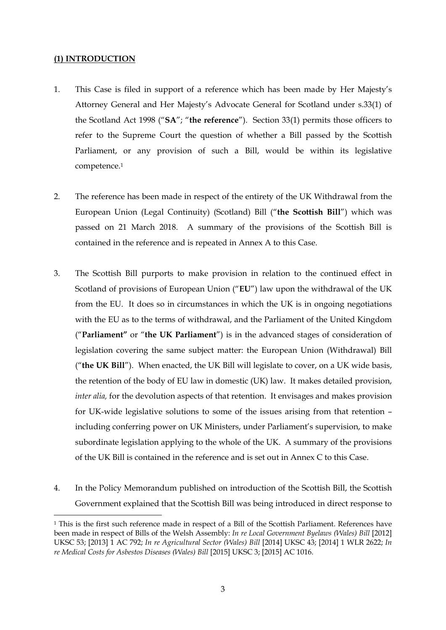## **(1) INTRODUCTION**

<u>.</u>

- 1. This Case is filed in support of a reference which has been made by Her Majesty's Attorney General and Her Majesty's Advocate General for Scotland under s.33(1) of the Scotland Act 1998 ("**SA**"; "**the reference**"). Section 33(1) permits those officers to refer to the Supreme Court the question of whether a Bill passed by the Scottish Parliament, or any provision of such a Bill, would be within its legislative competence.1
- 2. The reference has been made in respect of the entirety of the UK Withdrawal from the European Union (Legal Continuity) (Scotland) Bill ("**the Scottish Bill**") which was passed on 21 March 2018. A summary of the provisions of the Scottish Bill is contained in the reference and is repeated in Annex A to this Case.
- 3. The Scottish Bill purports to make provision in relation to the continued effect in Scotland of provisions of European Union ("**EU**") law upon the withdrawal of the UK from the EU. It does so in circumstances in which the UK is in ongoing negotiations with the EU as to the terms of withdrawal, and the Parliament of the United Kingdom ("**Parliament"** or "**the UK Parliament**") is in the advanced stages of consideration of legislation covering the same subject matter: the European Union (Withdrawal) Bill ("**the UK Bill**"). When enacted, the UK Bill will legislate to cover, on a UK wide basis, the retention of the body of EU law in domestic (UK) law. It makes detailed provision, *inter alia,* for the devolution aspects of that retention. It envisages and makes provision for UK-wide legislative solutions to some of the issues arising from that retention – including conferring power on UK Ministers, under Parliament's supervision, to make subordinate legislation applying to the whole of the UK. A summary of the provisions of the UK Bill is contained in the reference and is set out in Annex C to this Case.
- 4. In the Policy Memorandum published on introduction of the Scottish Bill, the Scottish Government explained that the Scottish Bill was being introduced in direct response to

<sup>1</sup> This is the first such reference made in respect of a Bill of the Scottish Parliament. References have been made in respect of Bills of the Welsh Assembly: *In re Local Government Byelaws (Wales) Bill* [2012] UKSC 53; [2013] 1 AC 792; *In re Agricultural Sector (Wales) Bill* [2014] UKSC 43; [2014] 1 WLR 2622; *In re Medical Costs for Asbestos Diseases (Wales) Bill* [2015] UKSC 3; [2015] AC 1016.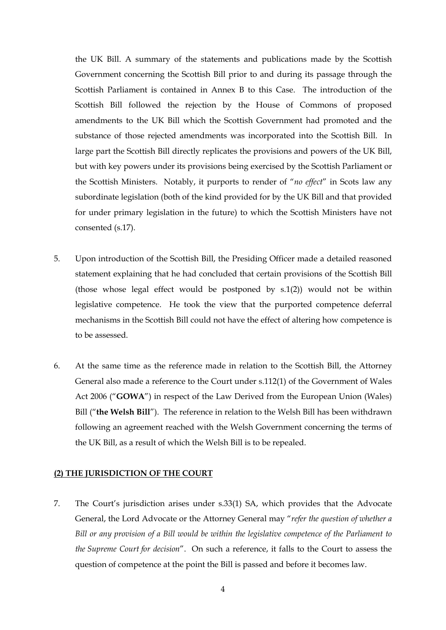the UK Bill. A summary of the statements and publications made by the Scottish Government concerning the Scottish Bill prior to and during its passage through the Scottish Parliament is contained in Annex B to this Case. The introduction of the Scottish Bill followed the rejection by the House of Commons of proposed amendments to the UK Bill which the Scottish Government had promoted and the substance of those rejected amendments was incorporated into the Scottish Bill. In large part the Scottish Bill directly replicates the provisions and powers of the UK Bill, but with key powers under its provisions being exercised by the Scottish Parliament or the Scottish Ministers. Notably, it purports to render of "*no effect*" in Scots law any subordinate legislation (both of the kind provided for by the UK Bill and that provided for under primary legislation in the future) to which the Scottish Ministers have not consented (s.17).

- 5. Upon introduction of the Scottish Bill, the Presiding Officer made a detailed reasoned statement explaining that he had concluded that certain provisions of the Scottish Bill (those whose legal effect would be postponed by s.1(2)) would not be within legislative competence. He took the view that the purported competence deferral mechanisms in the Scottish Bill could not have the effect of altering how competence is to be assessed.
- 6. At the same time as the reference made in relation to the Scottish Bill, the Attorney General also made a reference to the Court under s.112(1) of the Government of Wales Act 2006 ("**GOWA**") in respect of the Law Derived from the European Union (Wales) Bill ("**the Welsh Bill**"). The reference in relation to the Welsh Bill has been withdrawn following an agreement reached with the Welsh Government concerning the terms of the UK Bill, as a result of which the Welsh Bill is to be repealed.

#### **(2) THE JURISDICTION OF THE COURT**

7. The Court's jurisdiction arises under s.33(1) SA, which provides that the Advocate General, the Lord Advocate or the Attorney General may "*refer the question of whether a Bill or any provision of a Bill would be within the legislative competence of the Parliament to the Supreme Court for decision*". On such a reference, it falls to the Court to assess the question of competence at the point the Bill is passed and before it becomes law.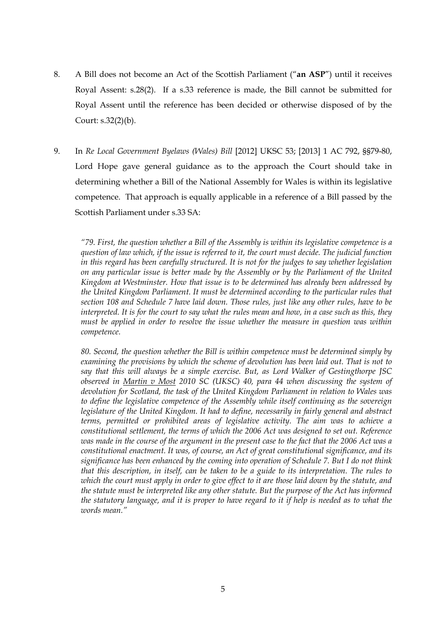- 8. A Bill does not become an Act of the Scottish Parliament ("**an ASP**") until it receives Royal Assent: s.28(2). If a s.33 reference is made, the Bill cannot be submitted for Royal Assent until the reference has been decided or otherwise disposed of by the Court: s.32(2)(b).
- 9. In *Re Local Government Byelaws (Wales) Bill* [2012] UKSC 53; [2013] 1 AC 792, §§79-80, Lord Hope gave general guidance as to the approach the Court should take in determining whether a Bill of the National Assembly for Wales is within its legislative competence. That approach is equally applicable in a reference of a Bill passed by the Scottish Parliament under s.33 SA:

*"79. First, the question whether a Bill of the Assembly is within its legislative competence is a question of law which, if the issue is referred to it, the court must decide. The judicial function in this regard has been carefully structured. It is not for the judges to say whether legislation on any particular issue is better made by the Assembly or by the Parliament of the United Kingdom at Westminster. How that issue is to be determined has already been addressed by the United Kingdom Parliament. It must be determined according to the particular rules that section 108 and Schedule 7 have laid down. Those rules, just like any other rules, have to be interpreted. It is for the court to say what the rules mean and how, in a case such as this, they must be applied in order to resolve the issue whether the measure in question was within competence.* 

*80. Second, the question whether the Bill is within competence must be determined simply by examining the provisions by which the scheme of devolution has been laid out. That is not to say that this will always be a simple exercise. But, as Lord Walker of Gestingthorpe JSC observed in Martin v Most 2010 SC (UKSC) 40, para 44 when discussing the system of devolution for Scotland, the task of the United Kingdom Parliament in relation to Wales was to define the legislative competence of the Assembly while itself continuing as the sovereign legislature of the United Kingdom. It had to define, necessarily in fairly general and abstract terms, permitted or prohibited areas of legislative activity. The aim was to achieve a constitutional settlement, the terms of which the 2006 Act was designed to set out. Reference was made in the course of the argument in the present case to the fact that the 2006 Act was a constitutional enactment. It was, of course, an Act of great constitutional significance, and its significance has been enhanced by the coming into operation of Schedule 7. But I do not think that this description, in itself, can be taken to be a guide to its interpretation. The rules to which the court must apply in order to give effect to it are those laid down by the statute, and the statute must be interpreted like any other statute. But the purpose of the Act has informed the statutory language, and it is proper to have regard to it if help is needed as to what the words mean."*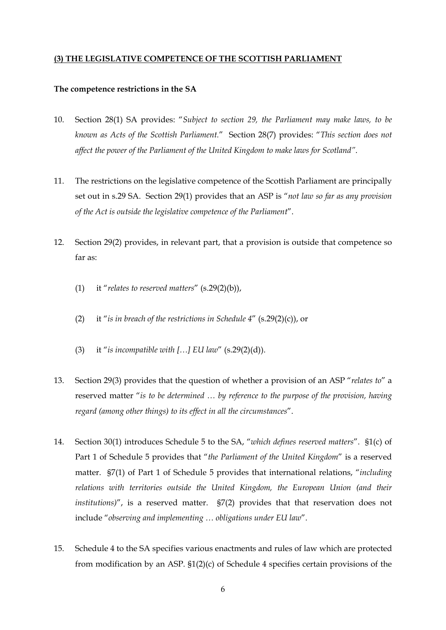#### **(3) THE LEGISLATIVE COMPETENCE OF THE SCOTTISH PARLIAMENT**

#### **The competence restrictions in the SA**

- 10. Section 28(1) SA provides: "*Subject to section 29, the Parliament may make laws, to be known as Acts of the Scottish Parliament.*" Section 28(7) provides: "*This section does not affect the power of the Parliament of the United Kingdom to make laws for Scotland"*.
- 11. The restrictions on the legislative competence of the Scottish Parliament are principally set out in s.29 SA. Section 29(1) provides that an ASP is "*not law so far as any provision of the Act is outside the legislative competence of the Parliament*".
- 12. Section 29(2) provides, in relevant part, that a provision is outside that competence so far as:
	- (1) it "*relates to reserved matters*" (s.29(2)(b)),
	- (2) it "*is in breach of the restrictions in Schedule 4*" (s.29(2)(c)), or
	- (3) it "*is incompatible with […] EU law*" (s.29(2)(d)).
- 13. Section 29(3) provides that the question of whether a provision of an ASP "*relates to*" a reserved matter "*is to be determined … by reference to the purpose of the provision, having regard (among other things) to its effect in all the circumstances*".
- 14. Section 30(1) introduces Schedule 5 to the SA, "*which defines reserved matters*". §1(c) of Part 1 of Schedule 5 provides that "*the Parliament of the United Kingdom*" is a reserved matter. §7(1) of Part 1 of Schedule 5 provides that international relations, "*including relations with territories outside the United Kingdom, the European Union (and their institutions)*", is a reserved matter. §7(2) provides that that reservation does not include "*observing and implementing … obligations under EU law*".
- 15. Schedule 4 to the SA specifies various enactments and rules of law which are protected from modification by an ASP. §1(2)(c) of Schedule 4 specifies certain provisions of the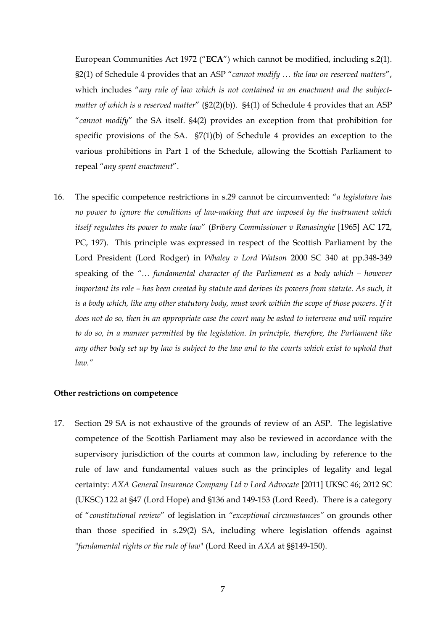European Communities Act 1972 ("**ECA**") which cannot be modified, including s.2(1). §2(1) of Schedule 4 provides that an ASP "*cannot modify … the law on reserved matters*", which includes "*any rule of law which is not contained in an enactment and the subjectmatter of which is a reserved matter*" (§2(2)(b)). §4(1) of Schedule 4 provides that an ASP "*cannot modify*" the SA itself. §4(2) provides an exception from that prohibition for specific provisions of the SA. §7(1)(b) of Schedule 4 provides an exception to the various prohibitions in Part 1 of the Schedule, allowing the Scottish Parliament to repeal "*any spent enactment*".

16. The specific competence restrictions in s.29 cannot be circumvented: "*a legislature has no power to ignore the conditions of law-making that are imposed by the instrument which itself regulates its power to make law*" (*Bribery Commissioner v Ranasinghe* [1965] AC 172, PC, 197). This principle was expressed in respect of the Scottish Parliament by the Lord President (Lord Rodger) in *Whaley v Lord Watson* 2000 SC 340 at pp.348-349 speaking of the *"… fundamental character of the Parliament as a body which – however important its role – has been created by statute and derives its powers from statute. As such, it is a body which, like any other statutory body, must work within the scope of those powers. If it does not do so, then in an appropriate case the court may be asked to intervene and will require to do so, in a manner permitted by the legislation. In principle, therefore, the Parliament like any other body set up by law is subject to the law and to the courts which exist to uphold that law."*

#### **Other restrictions on competence**

17. Section 29 SA is not exhaustive of the grounds of review of an ASP. The legislative competence of the Scottish Parliament may also be reviewed in accordance with the supervisory jurisdiction of the courts at common law, including by reference to the rule of law and fundamental values such as the principles of legality and legal certainty: *AXA General Insurance Company Ltd v Lord Advocate* [2011] UKSC 46; 2012 SC (UKSC) 122 at §47 (Lord Hope) and §136 and 149-153 (Lord Reed). There is a category of "*constitutional review*" of legislation in *"exceptional circumstances"* on grounds other than those specified in s.29(2) SA, including where legislation offends against "*fundamental rights or the rule of law*" (Lord Reed in *AXA* at §§149-150).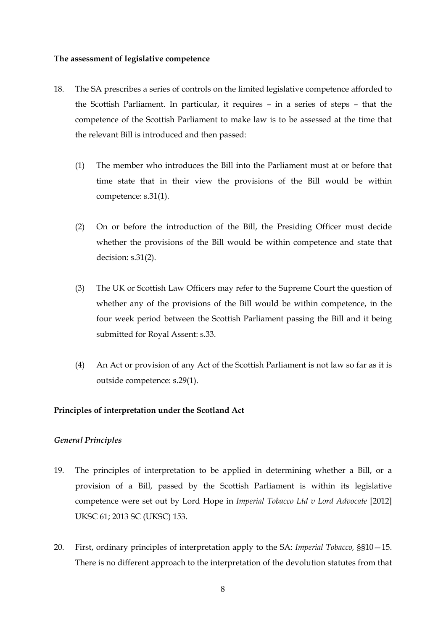#### **The assessment of legislative competence**

- 18. The SA prescribes a series of controls on the limited legislative competence afforded to the Scottish Parliament. In particular, it requires – in a series of steps – that the competence of the Scottish Parliament to make law is to be assessed at the time that the relevant Bill is introduced and then passed:
	- (1) The member who introduces the Bill into the Parliament must at or before that time state that in their view the provisions of the Bill would be within competence: s.31(1).
	- (2) On or before the introduction of the Bill, the Presiding Officer must decide whether the provisions of the Bill would be within competence and state that decision: s.31(2).
	- (3) The UK or Scottish Law Officers may refer to the Supreme Court the question of whether any of the provisions of the Bill would be within competence, in the four week period between the Scottish Parliament passing the Bill and it being submitted for Royal Assent: s.33.
	- (4) An Act or provision of any Act of the Scottish Parliament is not law so far as it is outside competence: s.29(1).

#### **Principles of interpretation under the Scotland Act**

#### *General Principles*

- 19. The principles of interpretation to be applied in determining whether a Bill, or a provision of a Bill, passed by the Scottish Parliament is within its legislative competence were set out by Lord Hope in *Imperial Tobacco Ltd v Lord Advocate* [2012] UKSC 61; 2013 SC (UKSC) 153.
- 20. First, ordinary principles of interpretation apply to the SA: *Imperial Tobacco,* §§10—15. There is no different approach to the interpretation of the devolution statutes from that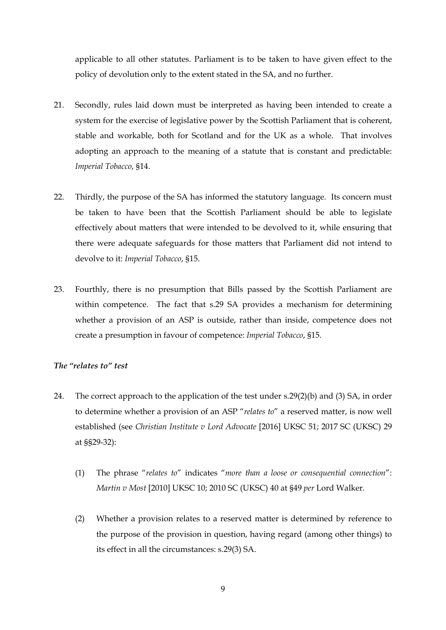applicable to all other statutes. Parliament is to be taken to have given effect to the policy of devolution only to the extent stated in the SA, and no further.

- 21. Secondly, rules laid down must be interpreted as having been intended to create a system for the exercise of legislative power by the Scottish Parliament that is coherent, stable and workable, both for Scotland and for the UK as a whole. That involves adopting an approach to the meaning of a statute that is constant and predictable: *Imperial Tobacco*, §14.
- 22. Thirdly, the purpose of the SA has informed the statutory language. Its concern must be taken to have been that the Scottish Parliament should be able to legislate effectively about matters that were intended to be devolved to it, while ensuring that there were adequate safeguards for those matters that Parliament did not intend to devolve to it: *Imperial Tobacco*, §15.
- 23. Fourthly, there is no presumption that Bills passed by the Scottish Parliament are within competence. The fact that s.29 SA provides a mechanism for determining whether a provision of an ASP is outside, rather than inside, competence does not create a presumption in favour of competence: *Imperial Tobacco*, §15*.*

#### *The "relates to" test*

- 24. The correct approach to the application of the test under s.29(2)(b) and (3) SA, in order to determine whether a provision of an ASP "*relates to*" a reserved matter, is now well established (see *Christian Institute v Lord Advocate* [2016] UKSC 51; 2017 SC (UKSC) 29 at §§29-32):
	- (1) The phrase "*relates to*" indicates "*more than a loose or consequential connection*": *Martin v Most* [2010] UKSC 10; 2010 SC (UKSC) 40 at §49 *per* Lord Walker.
	- (2) Whether a provision relates to a reserved matter is determined by reference to the purpose of the provision in question, having regard (among other things) to its effect in all the circumstances: s.29(3) SA.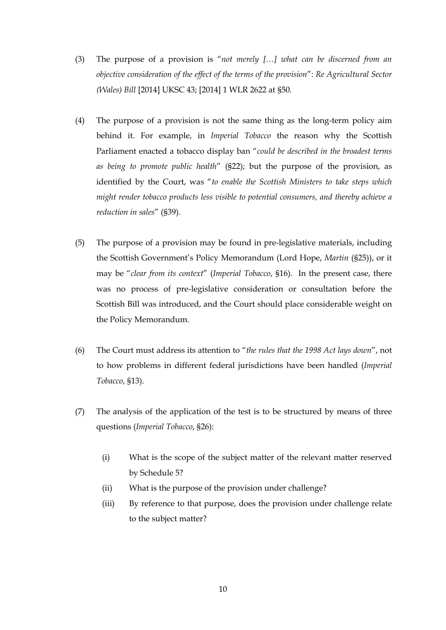- (3) The purpose of a provision is "*not merely […] what can be discerned from an objective consideration of the effect of the terms of the provision*": *Re Agricultural Sector (Wales) Bill* [2014] UKSC 43; [2014] 1 WLR 2622 at §50.
- (4) The purpose of a provision is not the same thing as the long-term policy aim behind it. For example, in *Imperial Tobacco* the reason why the Scottish Parliament enacted a tobacco display ban "*could be described in the broadest terms as being to promote public health*" (§22); but the purpose of the provision, as identified by the Court, was "*to enable the Scottish Ministers to take steps which might render tobacco products less visible to potential consumers, and thereby achieve a reduction in sales*" (§39).
- (5) The purpose of a provision may be found in pre-legislative materials, including the Scottish Government's Policy Memorandum (Lord Hope, *Martin* (§25)), or it may be "*clear from its context*" (*Imperial Tobacco*, §16). In the present case, there was no process of pre-legislative consideration or consultation before the Scottish Bill was introduced, and the Court should place considerable weight on the Policy Memorandum.
- (6) The Court must address its attention to "*the rules that the 1998 Act lays down*", not to how problems in different federal jurisdictions have been handled (*Imperial Tobacco*, §13).
- (7) The analysis of the application of the test is to be structured by means of three questions (*Imperial Tobacco*, §26):
	- (i) What is the scope of the subject matter of the relevant matter reserved by Schedule 5?
	- (ii) What is the purpose of the provision under challenge?
	- (iii) By reference to that purpose, does the provision under challenge relate to the subject matter?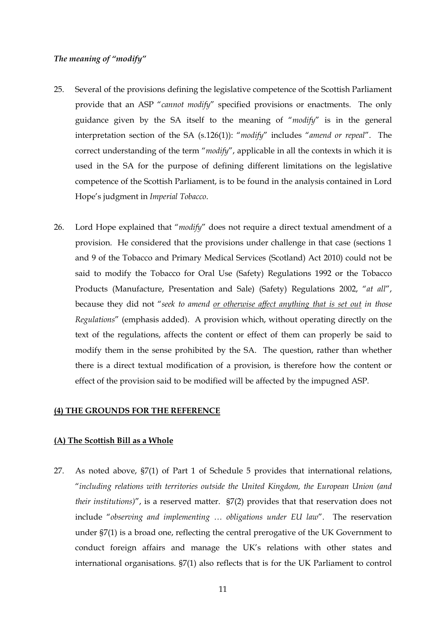#### *The meaning of "modify"*

- 25. Several of the provisions defining the legislative competence of the Scottish Parliament provide that an ASP "*cannot modify*" specified provisions or enactments. The only guidance given by the SA itself to the meaning of "*modify*" is in the general interpretation section of the SA (s.126(1)): "*modify*" includes "*amend or repeal*". The correct understanding of the term "*modify*", applicable in all the contexts in which it is used in the SA for the purpose of defining different limitations on the legislative competence of the Scottish Parliament, is to be found in the analysis contained in Lord Hope's judgment in *Imperial Tobacco*.
- 26. Lord Hope explained that "*modify*" does not require a direct textual amendment of a provision. He considered that the provisions under challenge in that case (sections 1 and 9 of the Tobacco and Primary Medical Services (Scotland) Act 2010) could not be said to modify the Tobacco for Oral Use (Safety) Regulations 1992 or the Tobacco Products (Manufacture, Presentation and Sale) (Safety) Regulations 2002, "*at all*", because they did not "*seek to amend or otherwise affect anything that is set out in those Regulations*" (emphasis added). A provision which, without operating directly on the text of the regulations, affects the content or effect of them can properly be said to modify them in the sense prohibited by the SA. The question, rather than whether there is a direct textual modification of a provision, is therefore how the content or effect of the provision said to be modified will be affected by the impugned ASP.

#### **(4) THE GROUNDS FOR THE REFERENCE**

#### **(A) The Scottish Bill as a Whole**

27. As noted above, §7(1) of Part 1 of Schedule 5 provides that international relations, "*including relations with territories outside the United Kingdom, the European Union (and their institutions)*", is a reserved matter. §7(2) provides that that reservation does not include "*observing and implementing … obligations under EU law*". The reservation under §7(1) is a broad one, reflecting the central prerogative of the UK Government to conduct foreign affairs and manage the UK's relations with other states and international organisations. §7(1) also reflects that is for the UK Parliament to control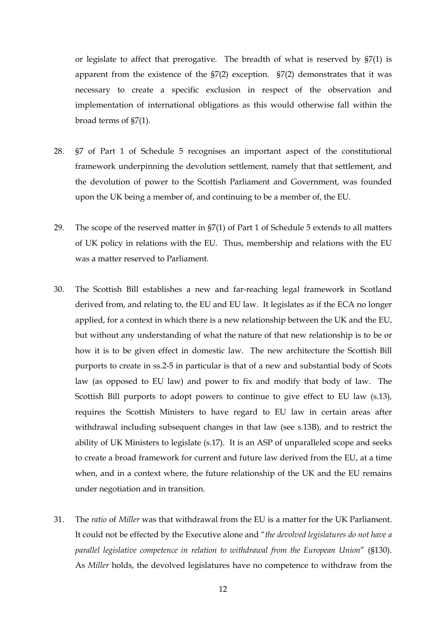or legislate to affect that prerogative. The breadth of what is reserved by §7(1) is apparent from the existence of the §7(2) exception. §7(2) demonstrates that it was necessary to create a specific exclusion in respect of the observation and implementation of international obligations as this would otherwise fall within the broad terms of §7(1).

- 28. §7 of Part 1 of Schedule 5 recognises an important aspect of the constitutional framework underpinning the devolution settlement, namely that that settlement, and the devolution of power to the Scottish Parliament and Government, was founded upon the UK being a member of, and continuing to be a member of, the EU.
- 29. The scope of the reserved matter in §7(1) of Part 1 of Schedule 5 extends to all matters of UK policy in relations with the EU. Thus, membership and relations with the EU was a matter reserved to Parliament.
- 30. The Scottish Bill establishes a new and far-reaching legal framework in Scotland derived from, and relating to, the EU and EU law. It legislates as if the ECA no longer applied, for a context in which there is a new relationship between the UK and the EU, but without any understanding of what the nature of that new relationship is to be or how it is to be given effect in domestic law. The new architecture the Scottish Bill purports to create in ss.2-5 in particular is that of a new and substantial body of Scots law (as opposed to EU law) and power to fix and modify that body of law. The Scottish Bill purports to adopt powers to continue to give effect to EU law  $(s.13)$ , requires the Scottish Ministers to have regard to EU law in certain areas after withdrawal including subsequent changes in that law (see s.13B), and to restrict the ability of UK Ministers to legislate (s.17). It is an ASP of unparalleled scope and seeks to create a broad framework for current and future law derived from the EU, at a time when, and in a context where, the future relationship of the UK and the EU remains under negotiation and in transition.
- 31. The *ratio* of *Miller* was that withdrawal from the EU is a matter for the UK Parliament. It could not be effected by the Executive alone and "*the devolved legislatures do not have a parallel legislative competence in relation to withdrawal from the European Union*" (§130). As *Miller* holds, the devolved legislatures have no competence to withdraw from the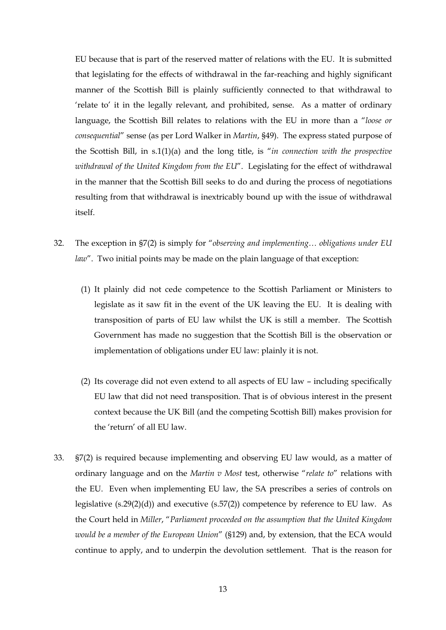EU because that is part of the reserved matter of relations with the EU. It is submitted that legislating for the effects of withdrawal in the far-reaching and highly significant manner of the Scottish Bill is plainly sufficiently connected to that withdrawal to 'relate to' it in the legally relevant, and prohibited, sense. As a matter of ordinary language, the Scottish Bill relates to relations with the EU in more than a "*loose or consequential*" sense (as per Lord Walker in *Martin*, §49). The express stated purpose of the Scottish Bill, in s.1(1)(a) and the long title, is "*in connection with the prospective withdrawal of the United Kingdom from the EU*". Legislating for the effect of withdrawal in the manner that the Scottish Bill seeks to do and during the process of negotiations resulting from that withdrawal is inextricably bound up with the issue of withdrawal itself.

- 32. The exception in §7(2) is simply for "*observing and implementing… obligations under EU law*". Two initial points may be made on the plain language of that exception:
	- (1) It plainly did not cede competence to the Scottish Parliament or Ministers to legislate as it saw fit in the event of the UK leaving the EU. It is dealing with transposition of parts of EU law whilst the UK is still a member. The Scottish Government has made no suggestion that the Scottish Bill is the observation or implementation of obligations under EU law: plainly it is not.
	- (2) Its coverage did not even extend to all aspects of EU law including specifically EU law that did not need transposition. That is of obvious interest in the present context because the UK Bill (and the competing Scottish Bill) makes provision for the 'return' of all EU law.
- 33. §7(2) is required because implementing and observing EU law would, as a matter of ordinary language and on the *Martin v Most* test, otherwise "*relate to*" relations with the EU. Even when implementing EU law, the SA prescribes a series of controls on legislative (s.29(2)(d)) and executive (s.57(2)) competence by reference to EU law. As the Court held in *Miller*, "*Parliament proceeded on the assumption that the United Kingdom would be a member of the European Union*" (§129) and, by extension, that the ECA would continue to apply, and to underpin the devolution settlement. That is the reason for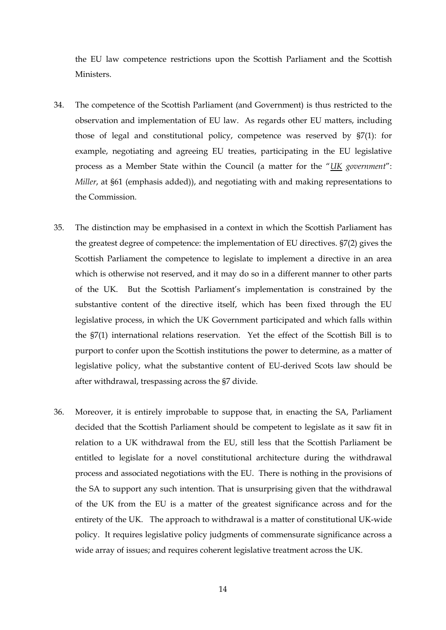the EU law competence restrictions upon the Scottish Parliament and the Scottish Ministers.

- 34. The competence of the Scottish Parliament (and Government) is thus restricted to the observation and implementation of EU law. As regards other EU matters, including those of legal and constitutional policy, competence was reserved by §7(1): for example, negotiating and agreeing EU treaties, participating in the EU legislative process as a Member State within the Council (a matter for the "*UK government*": *Miller*, at §61 (emphasis added)), and negotiating with and making representations to the Commission.
- 35. The distinction may be emphasised in a context in which the Scottish Parliament has the greatest degree of competence: the implementation of EU directives. §7(2) gives the Scottish Parliament the competence to legislate to implement a directive in an area which is otherwise not reserved, and it may do so in a different manner to other parts of the UK. But the Scottish Parliament's implementation is constrained by the substantive content of the directive itself, which has been fixed through the EU legislative process, in which the UK Government participated and which falls within the §7(1) international relations reservation. Yet the effect of the Scottish Bill is to purport to confer upon the Scottish institutions the power to determine, as a matter of legislative policy, what the substantive content of EU-derived Scots law should be after withdrawal, trespassing across the §7 divide.
- 36. Moreover, it is entirely improbable to suppose that, in enacting the SA, Parliament decided that the Scottish Parliament should be competent to legislate as it saw fit in relation to a UK withdrawal from the EU, still less that the Scottish Parliament be entitled to legislate for a novel constitutional architecture during the withdrawal process and associated negotiations with the EU. There is nothing in the provisions of the SA to support any such intention. That is unsurprising given that the withdrawal of the UK from the EU is a matter of the greatest significance across and for the entirety of the UK. The approach to withdrawal is a matter of constitutional UK-wide policy. It requires legislative policy judgments of commensurate significance across a wide array of issues; and requires coherent legislative treatment across the UK.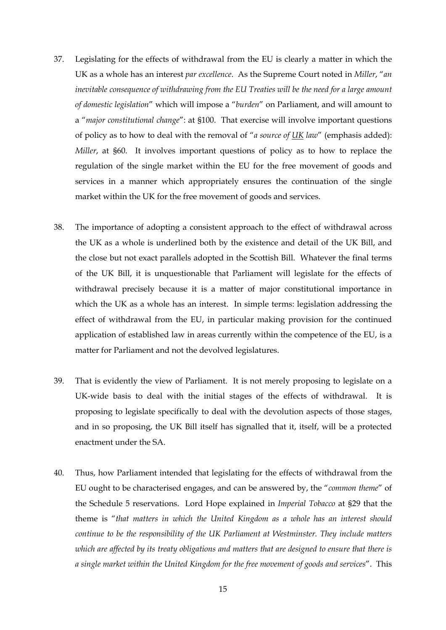- 37. Legislating for the effects of withdrawal from the EU is clearly a matter in which the UK as a whole has an interest *par excellence*. As the Supreme Court noted in *Miller*, "*an inevitable consequence of withdrawing from the EU Treaties will be the need for a large amount of domestic legislation*" which will impose a "*burden*" on Parliament, and will amount to a "*major constitutional change*": at §100. That exercise will involve important questions of policy as to how to deal with the removal of "*a source of UK law*" (emphasis added): *Miller*, at §60. It involves important questions of policy as to how to replace the regulation of the single market within the EU for the free movement of goods and services in a manner which appropriately ensures the continuation of the single market within the UK for the free movement of goods and services.
- 38. The importance of adopting a consistent approach to the effect of withdrawal across the UK as a whole is underlined both by the existence and detail of the UK Bill, and the close but not exact parallels adopted in the Scottish Bill. Whatever the final terms of the UK Bill, it is unquestionable that Parliament will legislate for the effects of withdrawal precisely because it is a matter of major constitutional importance in which the UK as a whole has an interest. In simple terms: legislation addressing the effect of withdrawal from the EU, in particular making provision for the continued application of established law in areas currently within the competence of the EU, is a matter for Parliament and not the devolved legislatures.
- 39. That is evidently the view of Parliament. It is not merely proposing to legislate on a UK-wide basis to deal with the initial stages of the effects of withdrawal. It is proposing to legislate specifically to deal with the devolution aspects of those stages, and in so proposing, the UK Bill itself has signalled that it, itself, will be a protected enactment under the SA.
- 40. Thus, how Parliament intended that legislating for the effects of withdrawal from the EU ought to be characterised engages, and can be answered by, the "*common theme*" of the Schedule 5 reservations. Lord Hope explained in *Imperial Tobacco* at §29 that the theme is "*that matters in which the United Kingdom as a whole has an interest should continue to be the responsibility of the UK Parliament at Westminster. They include matters which are affected by its treaty obligations and matters that are designed to ensure that there is a single market within the United Kingdom for the free movement of goods and services*". This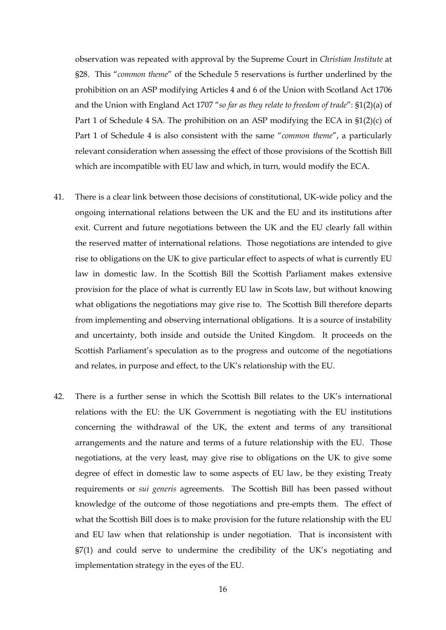observation was repeated with approval by the Supreme Court in *Christian Institute* at §28. This "*common theme*" of the Schedule 5 reservations is further underlined by the prohibition on an ASP modifying Articles 4 and 6 of the Union with Scotland Act 1706 and the Union with England Act 1707 "*so far as they relate to freedom of trade*": §1(2)(a) of Part 1 of Schedule 4 SA. The prohibition on an ASP modifying the ECA in §1(2)(c) of Part 1 of Schedule 4 is also consistent with the same "*common theme*", a particularly relevant consideration when assessing the effect of those provisions of the Scottish Bill which are incompatible with EU law and which, in turn, would modify the ECA.

- 41. There is a clear link between those decisions of constitutional, UK-wide policy and the ongoing international relations between the UK and the EU and its institutions after exit. Current and future negotiations between the UK and the EU clearly fall within the reserved matter of international relations. Those negotiations are intended to give rise to obligations on the UK to give particular effect to aspects of what is currently EU law in domestic law. In the Scottish Bill the Scottish Parliament makes extensive provision for the place of what is currently EU law in Scots law, but without knowing what obligations the negotiations may give rise to. The Scottish Bill therefore departs from implementing and observing international obligations. It is a source of instability and uncertainty, both inside and outside the United Kingdom. It proceeds on the Scottish Parliament's speculation as to the progress and outcome of the negotiations and relates, in purpose and effect, to the UK's relationship with the EU.
- 42. There is a further sense in which the Scottish Bill relates to the UK's international relations with the EU: the UK Government is negotiating with the EU institutions concerning the withdrawal of the UK, the extent and terms of any transitional arrangements and the nature and terms of a future relationship with the EU. Those negotiations, at the very least, may give rise to obligations on the UK to give some degree of effect in domestic law to some aspects of EU law, be they existing Treaty requirements or *sui generis* agreements. The Scottish Bill has been passed without knowledge of the outcome of those negotiations and pre-empts them. The effect of what the Scottish Bill does is to make provision for the future relationship with the EU and EU law when that relationship is under negotiation. That is inconsistent with §7(1) and could serve to undermine the credibility of the UK's negotiating and implementation strategy in the eyes of the EU.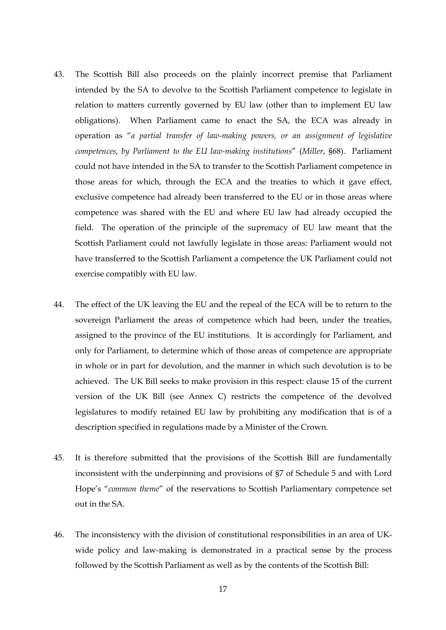- 43. The Scottish Bill also proceeds on the plainly incorrect premise that Parliament intended by the SA to devolve to the Scottish Parliament competence to legislate in relation to matters currently governed by EU law (other than to implement EU law obligations). When Parliament came to enact the SA, the ECA was already in operation as "*a partial transfer of law-making powers, or an assignment of legislative competences, by Parliament to the EU law-making institutions*" (*Miller*, §68). Parliament could not have intended in the SA to transfer to the Scottish Parliament competence in those areas for which, through the ECA and the treaties to which it gave effect, exclusive competence had already been transferred to the EU or in those areas where competence was shared with the EU and where EU law had already occupied the field. The operation of the principle of the supremacy of EU law meant that the Scottish Parliament could not lawfully legislate in those areas: Parliament would not have transferred to the Scottish Parliament a competence the UK Parliament could not exercise compatibly with EU law.
- 44. The effect of the UK leaving the EU and the repeal of the ECA will be to return to the sovereign Parliament the areas of competence which had been, under the treaties, assigned to the province of the EU institutions. It is accordingly for Parliament, and only for Parliament, to determine which of those areas of competence are appropriate in whole or in part for devolution, and the manner in which such devolution is to be achieved. The UK Bill seeks to make provision in this respect: clause 15 of the current version of the UK Bill (see Annex C) restricts the competence of the devolved legislatures to modify retained EU law by prohibiting any modification that is of a description specified in regulations made by a Minister of the Crown.
- 45. It is therefore submitted that the provisions of the Scottish Bill are fundamentally inconsistent with the underpinning and provisions of §7 of Schedule 5 and with Lord Hope's "*common theme*" of the reservations to Scottish Parliamentary competence set out in the SA.
- 46. The inconsistency with the division of constitutional responsibilities in an area of UKwide policy and law-making is demonstrated in a practical sense by the process followed by the Scottish Parliament as well as by the contents of the Scottish Bill: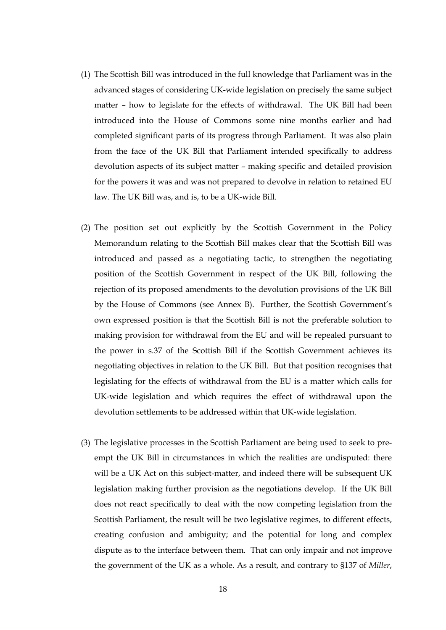- (1) The Scottish Bill was introduced in the full knowledge that Parliament was in the advanced stages of considering UK-wide legislation on precisely the same subject matter – how to legislate for the effects of withdrawal. The UK Bill had been introduced into the House of Commons some nine months earlier and had completed significant parts of its progress through Parliament. It was also plain from the face of the UK Bill that Parliament intended specifically to address devolution aspects of its subject matter – making specific and detailed provision for the powers it was and was not prepared to devolve in relation to retained EU law. The UK Bill was, and is, to be a UK-wide Bill.
- (2) The position set out explicitly by the Scottish Government in the Policy Memorandum relating to the Scottish Bill makes clear that the Scottish Bill was introduced and passed as a negotiating tactic, to strengthen the negotiating position of the Scottish Government in respect of the UK Bill, following the rejection of its proposed amendments to the devolution provisions of the UK Bill by the House of Commons (see Annex B). Further, the Scottish Government's own expressed position is that the Scottish Bill is not the preferable solution to making provision for withdrawal from the EU and will be repealed pursuant to the power in s.37 of the Scottish Bill if the Scottish Government achieves its negotiating objectives in relation to the UK Bill. But that position recognises that legislating for the effects of withdrawal from the EU is a matter which calls for UK-wide legislation and which requires the effect of withdrawal upon the devolution settlements to be addressed within that UK-wide legislation.
- (3) The legislative processes in the Scottish Parliament are being used to seek to preempt the UK Bill in circumstances in which the realities are undisputed: there will be a UK Act on this subject-matter, and indeed there will be subsequent UK legislation making further provision as the negotiations develop. If the UK Bill does not react specifically to deal with the now competing legislation from the Scottish Parliament, the result will be two legislative regimes, to different effects, creating confusion and ambiguity; and the potential for long and complex dispute as to the interface between them. That can only impair and not improve the government of the UK as a whole. As a result, and contrary to §137 of *Miller*,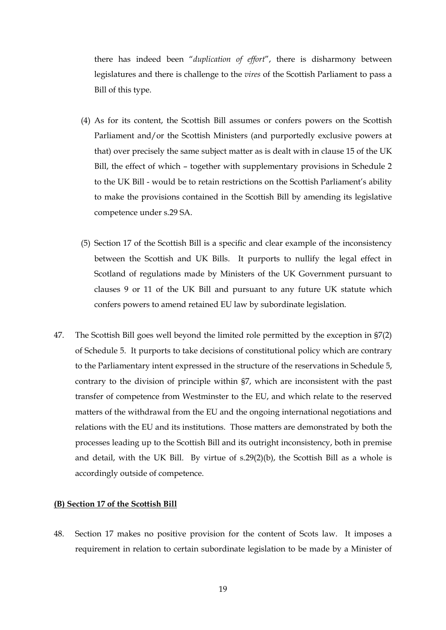there has indeed been "*duplication of effort*", there is disharmony between legislatures and there is challenge to the *vires* of the Scottish Parliament to pass a Bill of this type.

- (4) As for its content, the Scottish Bill assumes or confers powers on the Scottish Parliament and/or the Scottish Ministers (and purportedly exclusive powers at that) over precisely the same subject matter as is dealt with in clause 15 of the UK Bill, the effect of which – together with supplementary provisions in Schedule 2 to the UK Bill - would be to retain restrictions on the Scottish Parliament's ability to make the provisions contained in the Scottish Bill by amending its legislative competence under s.29 SA.
- (5) Section 17 of the Scottish Bill is a specific and clear example of the inconsistency between the Scottish and UK Bills. It purports to nullify the legal effect in Scotland of regulations made by Ministers of the UK Government pursuant to clauses 9 or 11 of the UK Bill and pursuant to any future UK statute which confers powers to amend retained EU law by subordinate legislation.
- 47. The Scottish Bill goes well beyond the limited role permitted by the exception in §7(2) of Schedule 5. It purports to take decisions of constitutional policy which are contrary to the Parliamentary intent expressed in the structure of the reservations in Schedule 5, contrary to the division of principle within §7, which are inconsistent with the past transfer of competence from Westminster to the EU, and which relate to the reserved matters of the withdrawal from the EU and the ongoing international negotiations and relations with the EU and its institutions. Those matters are demonstrated by both the processes leading up to the Scottish Bill and its outright inconsistency, both in premise and detail, with the UK Bill. By virtue of s.29(2)(b), the Scottish Bill as a whole is accordingly outside of competence.

#### **(B) Section 17 of the Scottish Bill**

48. Section 17 makes no positive provision for the content of Scots law. It imposes a requirement in relation to certain subordinate legislation to be made by a Minister of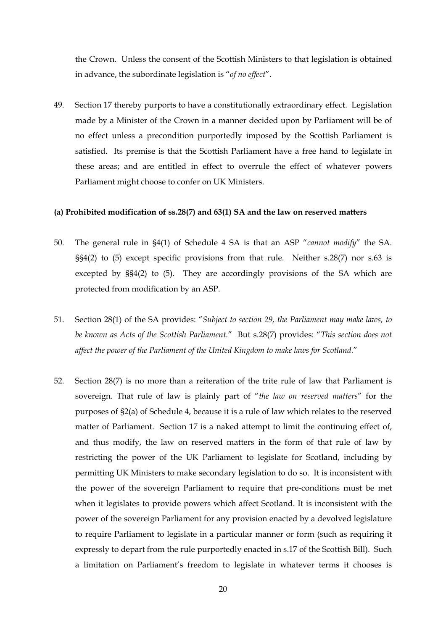the Crown. Unless the consent of the Scottish Ministers to that legislation is obtained in advance, the subordinate legislation is "*of no effect*".

49. Section 17 thereby purports to have a constitutionally extraordinary effect. Legislation made by a Minister of the Crown in a manner decided upon by Parliament will be of no effect unless a precondition purportedly imposed by the Scottish Parliament is satisfied. Its premise is that the Scottish Parliament have a free hand to legislate in these areas; and are entitled in effect to overrule the effect of whatever powers Parliament might choose to confer on UK Ministers.

#### **(a) Prohibited modification of ss.28(7) and 63(1) SA and the law on reserved matters**

- 50. The general rule in §4(1) of Schedule 4 SA is that an ASP "*cannot modify*" the SA. §§4(2) to (5) except specific provisions from that rule. Neither s.28(7) nor s.63 is excepted by §§4(2) to (5). They are accordingly provisions of the SA which are protected from modification by an ASP.
- 51. Section 28(1) of the SA provides: "*Subject to section 29, the Parliament may make laws, to be known as Acts of the Scottish Parliament.*" But s.28(7) provides: "*This section does not affect the power of the Parliament of the United Kingdom to make laws for Scotland.*"
- 52. Section 28(7) is no more than a reiteration of the trite rule of law that Parliament is sovereign. That rule of law is plainly part of "*the law on reserved matters*" for the purposes of §2(a) of Schedule 4, because it is a rule of law which relates to the reserved matter of Parliament. Section 17 is a naked attempt to limit the continuing effect of, and thus modify, the law on reserved matters in the form of that rule of law by restricting the power of the UK Parliament to legislate for Scotland, including by permitting UK Ministers to make secondary legislation to do so. It is inconsistent with the power of the sovereign Parliament to require that pre-conditions must be met when it legislates to provide powers which affect Scotland. It is inconsistent with the power of the sovereign Parliament for any provision enacted by a devolved legislature to require Parliament to legislate in a particular manner or form (such as requiring it expressly to depart from the rule purportedly enacted in s.17 of the Scottish Bill). Such a limitation on Parliament's freedom to legislate in whatever terms it chooses is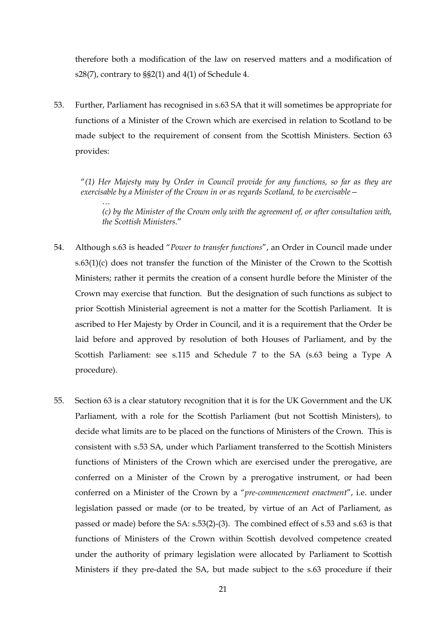therefore both a modification of the law on reserved matters and a modification of s28(7), contrary to §§2(1) and 4(1) of Schedule 4.

53. Further, Parliament has recognised in s.63 SA that it will sometimes be appropriate for functions of a Minister of the Crown which are exercised in relation to Scotland to be made subject to the requirement of consent from the Scottish Ministers. Section 63 provides:

*…* 

"*(1) Her Majesty may by Order in Council provide for any functions, so far as they are exercisable by a Minister of the Crown in or as regards Scotland, to be exercisable—* 

*(c) by the Minister of the Crown only with the agreement of, or after consultation with, the Scottish Ministers.*"

- 54. Although s.63 is headed "*Power to transfer functions*", an Order in Council made under  $s.63(1)(c)$  does not transfer the function of the Minister of the Crown to the Scottish Ministers; rather it permits the creation of a consent hurdle before the Minister of the Crown may exercise that function. But the designation of such functions as subject to prior Scottish Ministerial agreement is not a matter for the Scottish Parliament. It is ascribed to Her Majesty by Order in Council, and it is a requirement that the Order be laid before and approved by resolution of both Houses of Parliament, and by the Scottish Parliament: see s.115 and Schedule 7 to the SA (s.63 being a Type A procedure).
- 55. Section 63 is a clear statutory recognition that it is for the UK Government and the UK Parliament, with a role for the Scottish Parliament (but not Scottish Ministers), to decide what limits are to be placed on the functions of Ministers of the Crown. This is consistent with s.53 SA, under which Parliament transferred to the Scottish Ministers functions of Ministers of the Crown which are exercised under the prerogative, are conferred on a Minister of the Crown by a prerogative instrument, or had been conferred on a Minister of the Crown by a "*pre-commencement enactment*", i.e. under legislation passed or made (or to be treated, by virtue of an Act of Parliament, as passed or made) before the SA: s.53(2)-(3). The combined effect of s.53 and s.63 is that functions of Ministers of the Crown within Scottish devolved competence created under the authority of primary legislation were allocated by Parliament to Scottish Ministers if they pre-dated the SA, but made subject to the s.63 procedure if their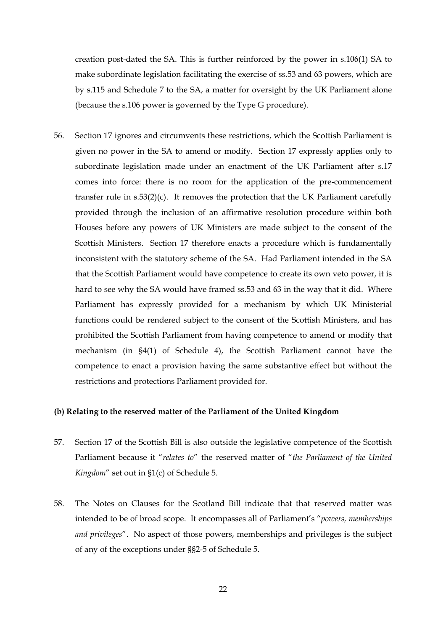creation post-dated the SA. This is further reinforced by the power in s.106(1) SA to make subordinate legislation facilitating the exercise of ss.53 and 63 powers, which are by s.115 and Schedule 7 to the SA, a matter for oversight by the UK Parliament alone (because the s.106 power is governed by the Type G procedure).

56. Section 17 ignores and circumvents these restrictions, which the Scottish Parliament is given no power in the SA to amend or modify. Section 17 expressly applies only to subordinate legislation made under an enactment of the UK Parliament after s.17 comes into force: there is no room for the application of the pre-commencement transfer rule in  $s.53(2)(c)$ . It removes the protection that the UK Parliament carefully provided through the inclusion of an affirmative resolution procedure within both Houses before any powers of UK Ministers are made subject to the consent of the Scottish Ministers. Section 17 therefore enacts a procedure which is fundamentally inconsistent with the statutory scheme of the SA. Had Parliament intended in the SA that the Scottish Parliament would have competence to create its own veto power, it is hard to see why the SA would have framed ss.53 and 63 in the way that it did. Where Parliament has expressly provided for a mechanism by which UK Ministerial functions could be rendered subject to the consent of the Scottish Ministers, and has prohibited the Scottish Parliament from having competence to amend or modify that mechanism (in §4(1) of Schedule 4), the Scottish Parliament cannot have the competence to enact a provision having the same substantive effect but without the restrictions and protections Parliament provided for.

#### **(b) Relating to the reserved matter of the Parliament of the United Kingdom**

- 57. Section 17 of the Scottish Bill is also outside the legislative competence of the Scottish Parliament because it "*relates to*" the reserved matter of "*the Parliament of the United Kingdom*" set out in §1(c) of Schedule 5.
- 58. The Notes on Clauses for the Scotland Bill indicate that that reserved matter was intended to be of broad scope. It encompasses all of Parliament's "*powers, memberships and privileges*". No aspect of those powers, memberships and privileges is the subject of any of the exceptions under §§2-5 of Schedule 5.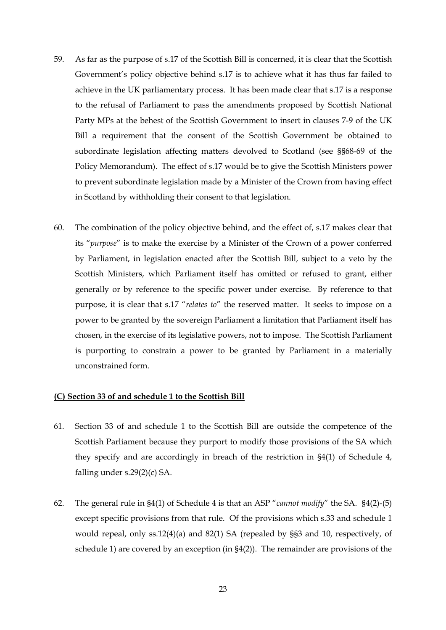- 59. As far as the purpose of s.17 of the Scottish Bill is concerned, it is clear that the Scottish Government's policy objective behind s.17 is to achieve what it has thus far failed to achieve in the UK parliamentary process. It has been made clear that s.17 is a response to the refusal of Parliament to pass the amendments proposed by Scottish National Party MPs at the behest of the Scottish Government to insert in clauses 7-9 of the UK Bill a requirement that the consent of the Scottish Government be obtained to subordinate legislation affecting matters devolved to Scotland (see §§68-69 of the Policy Memorandum). The effect of s.17 would be to give the Scottish Ministers power to prevent subordinate legislation made by a Minister of the Crown from having effect in Scotland by withholding their consent to that legislation.
- 60. The combination of the policy objective behind, and the effect of, s.17 makes clear that its "*purpose*" is to make the exercise by a Minister of the Crown of a power conferred by Parliament, in legislation enacted after the Scottish Bill, subject to a veto by the Scottish Ministers, which Parliament itself has omitted or refused to grant, either generally or by reference to the specific power under exercise. By reference to that purpose, it is clear that s.17 "*relates to*" the reserved matter. It seeks to impose on a power to be granted by the sovereign Parliament a limitation that Parliament itself has chosen, in the exercise of its legislative powers, not to impose. The Scottish Parliament is purporting to constrain a power to be granted by Parliament in a materially unconstrained form.

#### **(C) Section 33 of and schedule 1 to the Scottish Bill**

- 61. Section 33 of and schedule 1 to the Scottish Bill are outside the competence of the Scottish Parliament because they purport to modify those provisions of the SA which they specify and are accordingly in breach of the restriction in §4(1) of Schedule 4, falling under s.29(2)(c) SA.
- 62. The general rule in §4(1) of Schedule 4 is that an ASP "*cannot modify*" the SA. §4(2)-(5) except specific provisions from that rule. Of the provisions which s.33 and schedule 1 would repeal, only ss.12(4)(a) and 82(1) SA (repealed by §§3 and 10, respectively, of schedule 1) are covered by an exception (in §4(2)). The remainder are provisions of the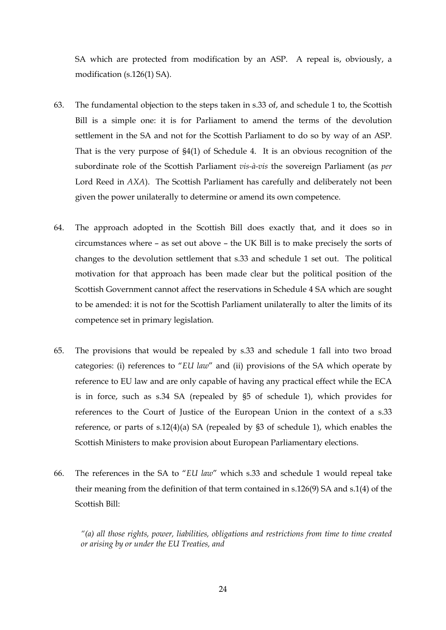SA which are protected from modification by an ASP. A repeal is, obviously, a modification (s.126(1) SA).

- 63. The fundamental objection to the steps taken in s.33 of, and schedule 1 to, the Scottish Bill is a simple one: it is for Parliament to amend the terms of the devolution settlement in the SA and not for the Scottish Parliament to do so by way of an ASP. That is the very purpose of §4(1) of Schedule 4. It is an obvious recognition of the subordinate role of the Scottish Parliament *vis-à-vis* the sovereign Parliament (as *per* Lord Reed in *AXA*). The Scottish Parliament has carefully and deliberately not been given the power unilaterally to determine or amend its own competence.
- 64. The approach adopted in the Scottish Bill does exactly that, and it does so in circumstances where – as set out above – the UK Bill is to make precisely the sorts of changes to the devolution settlement that s.33 and schedule 1 set out. The political motivation for that approach has been made clear but the political position of the Scottish Government cannot affect the reservations in Schedule 4 SA which are sought to be amended: it is not for the Scottish Parliament unilaterally to alter the limits of its competence set in primary legislation.
- 65. The provisions that would be repealed by s.33 and schedule 1 fall into two broad categories: (i) references to "*EU law*" and (ii) provisions of the SA which operate by reference to EU law and are only capable of having any practical effect while the ECA is in force, such as s.34 SA (repealed by §5 of schedule 1), which provides for references to the Court of Justice of the European Union in the context of a s.33 reference, or parts of s.12(4)(a) SA (repealed by §3 of schedule 1), which enables the Scottish Ministers to make provision about European Parliamentary elections.
- 66. The references in the SA to "*EU law*" which s.33 and schedule 1 would repeal take their meaning from the definition of that term contained in s.126(9) SA and s.1(4) of the Scottish Bill:

*"(a) all those rights, power, liabilities, obligations and restrictions from time to time created or arising by or under the EU Treaties, and*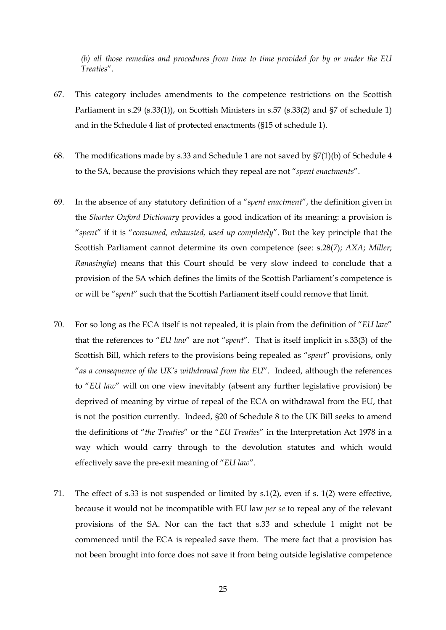*(b) all those remedies and procedures from time to time provided for by or under the EU Treaties*".

- 67. This category includes amendments to the competence restrictions on the Scottish Parliament in s.29 (s.33(1)), on Scottish Ministers in s.57 (s.33(2) and §7 of schedule 1) and in the Schedule 4 list of protected enactments (§15 of schedule 1).
- 68. The modifications made by s.33 and Schedule 1 are not saved by §7(1)(b) of Schedule 4 to the SA, because the provisions which they repeal are not "*spent enactments*".
- 69. In the absence of any statutory definition of a "*spent enactment*", the definition given in the *Shorter Oxford Dictionary* provides a good indication of its meaning: a provision is "*spent*" if it is "*consumed, exhausted, used up completely*". But the key principle that the Scottish Parliament cannot determine its own competence (see: s.28(7); *AXA*; *Miller*; *Ranasinghe*) means that this Court should be very slow indeed to conclude that a provision of the SA which defines the limits of the Scottish Parliament's competence is or will be "*spent*" such that the Scottish Parliament itself could remove that limit.
- 70. For so long as the ECA itself is not repealed, it is plain from the definition of "*EU law*" that the references to "*EU law*" are not "*spent*". That is itself implicit in s.33(3) of the Scottish Bill, which refers to the provisions being repealed as "*spent*" provisions, only "*as a consequence of the UK's withdrawal from the EU*". Indeed, although the references to "*EU law*" will on one view inevitably (absent any further legislative provision) be deprived of meaning by virtue of repeal of the ECA on withdrawal from the EU, that is not the position currently. Indeed, §20 of Schedule 8 to the UK Bill seeks to amend the definitions of "*the Treaties*" or the "*EU Treaties*" in the Interpretation Act 1978 in a way which would carry through to the devolution statutes and which would effectively save the pre-exit meaning of "*EU law*".
- 71. The effect of s.33 is not suspended or limited by s.1(2), even if s. 1(2) were effective, because it would not be incompatible with EU law *per se* to repeal any of the relevant provisions of the SA. Nor can the fact that s.33 and schedule 1 might not be commenced until the ECA is repealed save them. The mere fact that a provision has not been brought into force does not save it from being outside legislative competence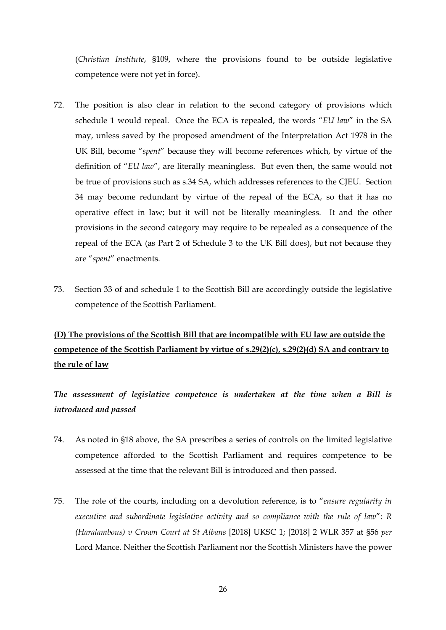(*Christian Institute*, §109, where the provisions found to be outside legislative competence were not yet in force).

- 72. The position is also clear in relation to the second category of provisions which schedule 1 would repeal. Once the ECA is repealed, the words "*EU law*" in the SA may, unless saved by the proposed amendment of the Interpretation Act 1978 in the UK Bill, become "*spent*" because they will become references which, by virtue of the definition of "*EU law*", are literally meaningless. But even then, the same would not be true of provisions such as s.34 SA, which addresses references to the CJEU. Section 34 may become redundant by virtue of the repeal of the ECA, so that it has no operative effect in law; but it will not be literally meaningless. It and the other provisions in the second category may require to be repealed as a consequence of the repeal of the ECA (as Part 2 of Schedule 3 to the UK Bill does), but not because they are "*spent*" enactments.
- 73. Section 33 of and schedule 1 to the Scottish Bill are accordingly outside the legislative competence of the Scottish Parliament.

# **(D) The provisions of the Scottish Bill that are incompatible with EU law are outside the competence of the Scottish Parliament by virtue of s.29(2)(c), s.29(2)(d) SA and contrary to the rule of law**

*The assessment of legislative competence is undertaken at the time when a Bill is introduced and passed*

- 74. As noted in §18 above, the SA prescribes a series of controls on the limited legislative competence afforded to the Scottish Parliament and requires competence to be assessed at the time that the relevant Bill is introduced and then passed.
- 75. The role of the courts, including on a devolution reference, is to "*ensure regularity in executive and subordinate legislative activity and so compliance with the rule of law*": *R (Haralambous) v Crown Court at St Albans* [2018] UKSC 1; [2018] 2 WLR 357 at §56 *per* Lord Mance. Neither the Scottish Parliament nor the Scottish Ministers have the power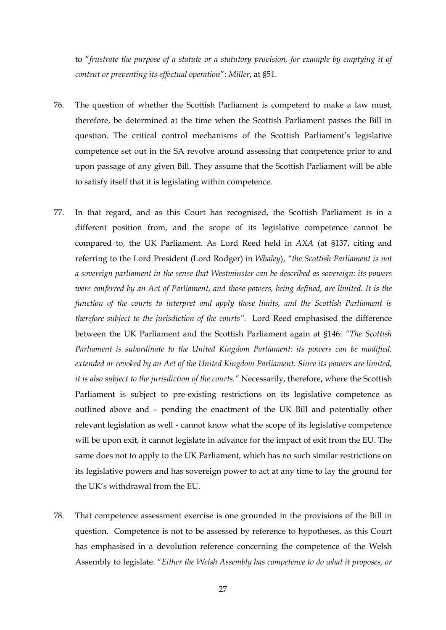to "*frustrate the purpose of a statute or a statutory provision, for example by emptying it of content or preventing its effectual operation*": *Miller*, at §51.

- 76. The question of whether the Scottish Parliament is competent to make a law must, therefore, be determined at the time when the Scottish Parliament passes the Bill in question. The critical control mechanisms of the Scottish Parliament's legislative competence set out in the SA revolve around assessing that competence prior to and upon passage of any given Bill. They assume that the Scottish Parliament will be able to satisfy itself that it is legislating within competence.
- 77. In that regard, and as this Court has recognised, the Scottish Parliament is in a different position from, and the scope of its legislative competence cannot be compared to, the UK Parliament. As Lord Reed held in *AXA* (at §137, citing and referring to the Lord President (Lord Rodger) in *Whaley*), *"the Scottish Parliament is not a sovereign parliament in the sense that Westminster can be described as sovereign: its powers were conferred by an Act of Parliament, and those powers, being defined, are limited. It is the function of the courts to interpret and apply those limits, and the Scottish Parliament is therefore subject to the jurisdiction of the courts".* Lord Reed emphasised the difference between the UK Parliament and the Scottish Parliament again at §146: *"The Scottish Parliament is subordinate to the United Kingdom Parliament: its powers can be modified, extended or revoked by an Act of the United Kingdom Parliament. Since its powers are limited, it is also subject to the jurisdiction of the courts."* Necessarily, therefore, where the Scottish Parliament is subject to pre-existing restrictions on its legislative competence as outlined above and – pending the enactment of the UK Bill and potentially other relevant legislation as well - cannot know what the scope of its legislative competence will be upon exit, it cannot legislate in advance for the impact of exit from the EU. The same does not to apply to the UK Parliament, which has no such similar restrictions on its legislative powers and has sovereign power to act at any time to lay the ground for the UK's withdrawal from the EU.
- 78. That competence assessment exercise is one grounded in the provisions of the Bill in question. Competence is not to be assessed by reference to hypotheses, as this Court has emphasised in a devolution reference concerning the competence of the Welsh Assembly to legislate. "*Either the Welsh Assembly has competence to do what it proposes, or*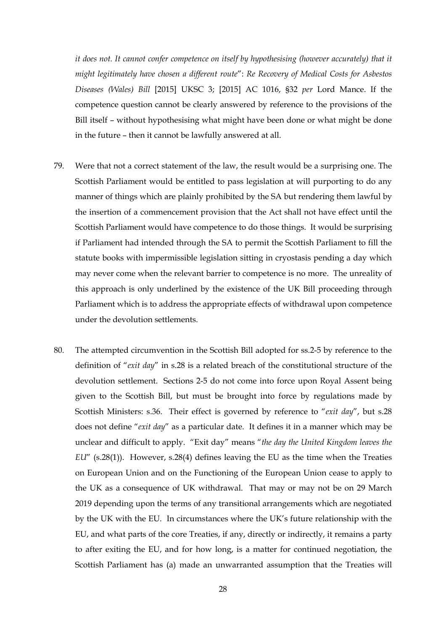*it does not. It cannot confer competence on itself by hypothesising (however accurately) that it might legitimately have chosen a different route*": *Re Recovery of Medical Costs for Asbestos Diseases (Wales) Bill* [2015] UKSC 3; [2015] AC 1016, §32 *per* Lord Mance. If the competence question cannot be clearly answered by reference to the provisions of the Bill itself – without hypothesising what might have been done or what might be done in the future – then it cannot be lawfully answered at all.

- 79. Were that not a correct statement of the law, the result would be a surprising one. The Scottish Parliament would be entitled to pass legislation at will purporting to do any manner of things which are plainly prohibited by the SA but rendering them lawful by the insertion of a commencement provision that the Act shall not have effect until the Scottish Parliament would have competence to do those things. It would be surprising if Parliament had intended through the SA to permit the Scottish Parliament to fill the statute books with impermissible legislation sitting in cryostasis pending a day which may never come when the relevant barrier to competence is no more. The unreality of this approach is only underlined by the existence of the UK Bill proceeding through Parliament which is to address the appropriate effects of withdrawal upon competence under the devolution settlements.
- 80. The attempted circumvention in the Scottish Bill adopted for ss.2-5 by reference to the definition of "*exit day*" in s.28 is a related breach of the constitutional structure of the devolution settlement. Sections 2-5 do not come into force upon Royal Assent being given to the Scottish Bill, but must be brought into force by regulations made by Scottish Ministers: s.36. Their effect is governed by reference to "*exit day*", but s.28 does not define "*exit day*" as a particular date. It defines it in a manner which may be unclear and difficult to apply. "Exit day" means "*the day the United Kingdom leaves the EU*" (s.28(1)). However, s.28(4) defines leaving the EU as the time when the Treaties on European Union and on the Functioning of the European Union cease to apply to the UK as a consequence of UK withdrawal. That may or may not be on 29 March 2019 depending upon the terms of any transitional arrangements which are negotiated by the UK with the EU. In circumstances where the UK's future relationship with the EU, and what parts of the core Treaties, if any, directly or indirectly, it remains a party to after exiting the EU, and for how long, is a matter for continued negotiation, the Scottish Parliament has (a) made an unwarranted assumption that the Treaties will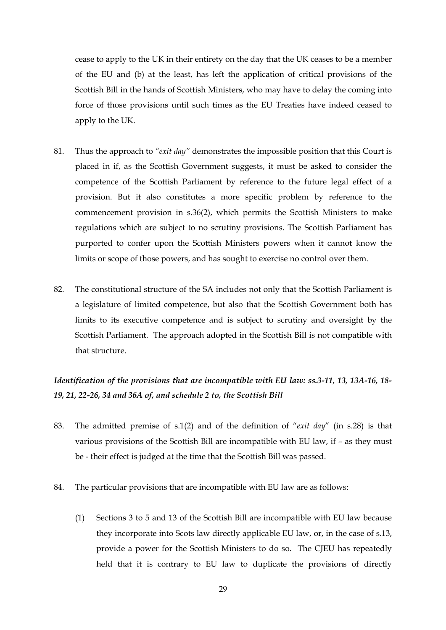cease to apply to the UK in their entirety on the day that the UK ceases to be a member of the EU and (b) at the least, has left the application of critical provisions of the Scottish Bill in the hands of Scottish Ministers, who may have to delay the coming into force of those provisions until such times as the EU Treaties have indeed ceased to apply to the UK.

- 81. Thus the approach to *"exit day"* demonstrates the impossible position that this Court is placed in if, as the Scottish Government suggests, it must be asked to consider the competence of the Scottish Parliament by reference to the future legal effect of a provision. But it also constitutes a more specific problem by reference to the commencement provision in s.36(2), which permits the Scottish Ministers to make regulations which are subject to no scrutiny provisions. The Scottish Parliament has purported to confer upon the Scottish Ministers powers when it cannot know the limits or scope of those powers, and has sought to exercise no control over them.
- 82. The constitutional structure of the SA includes not only that the Scottish Parliament is a legislature of limited competence, but also that the Scottish Government both has limits to its executive competence and is subject to scrutiny and oversight by the Scottish Parliament. The approach adopted in the Scottish Bill is not compatible with that structure.

# *Identification of the provisions that are incompatible with EU law: ss.3-11, 13, 13A-16, 18- 19, 21, 22-26, 34 and 36A of, and schedule 2 to, the Scottish Bill*

- 83. The admitted premise of s.1(2) and of the definition of "*exit day*" (in s.28) is that various provisions of the Scottish Bill are incompatible with EU law, if – as they must be - their effect is judged at the time that the Scottish Bill was passed.
- 84. The particular provisions that are incompatible with EU law are as follows:
	- (1) Sections 3 to 5 and 13 of the Scottish Bill are incompatible with EU law because they incorporate into Scots law directly applicable EU law, or, in the case of s.13, provide a power for the Scottish Ministers to do so. The CJEU has repeatedly held that it is contrary to EU law to duplicate the provisions of directly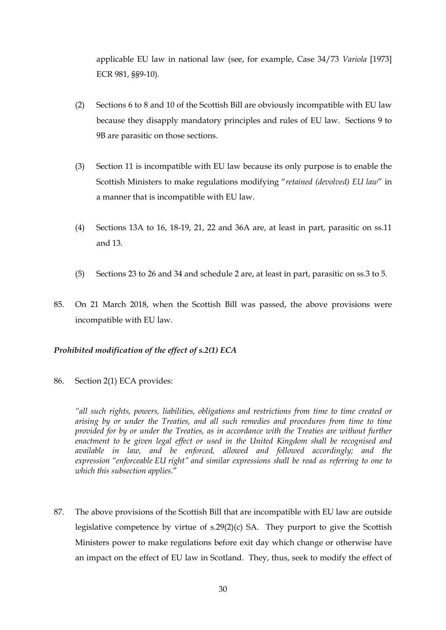applicable EU law in national law (see, for example, Case 34/73 *Variola* [1973] ECR 981, §§9-10).

- (2) Sections 6 to 8 and 10 of the Scottish Bill are obviously incompatible with EU law because they disapply mandatory principles and rules of EU law. Sections 9 to 9B are parasitic on those sections.
- (3) Section 11 is incompatible with EU law because its only purpose is to enable the Scottish Ministers to make regulations modifying "*retained (devolved) EU law*" in a manner that is incompatible with EU law.
- (4) Sections 13A to 16, 18-19, 21, 22 and 36A are, at least in part, parasitic on ss.11 and 13.
- (5) Sections 23 to 26 and 34 and schedule 2 are, at least in part, parasitic on ss.3 to 5.
- 85. On 21 March 2018, when the Scottish Bill was passed, the above provisions were incompatible with EU law.

# *Prohibited modification of the effect of s.2(1) ECA*

86. Section 2(1) ECA provides:

*"all such rights, powers, liabilities, obligations and restrictions from time to time created or arising by or under the Treaties, and all such remedies and procedures from time to time provided for by or under the Treaties, as in accordance with the Treaties are without further enactment to be given legal effect or used in the United Kingdom shall be recognised and available in law, and be enforced, allowed and followed accordingly; and the expression "enforceable EU right" and similar expressions shall be read as referring to one to which this subsection applies.*"

87. The above provisions of the Scottish Bill that are incompatible with EU law are outside legislative competence by virtue of s.29(2)(c) SA. They purport to give the Scottish Ministers power to make regulations before exit day which change or otherwise have an impact on the effect of EU law in Scotland. They, thus, seek to modify the effect of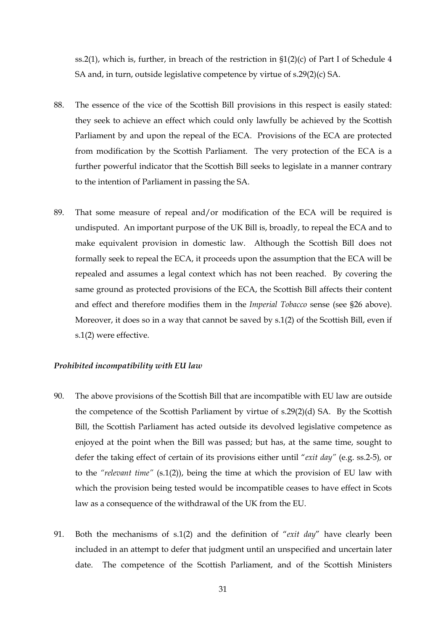ss.2(1), which is, further, in breach of the restriction in  $\S1(2)(c)$  of Part I of Schedule 4 SA and, in turn, outside legislative competence by virtue of s.29(2)(c) SA.

- 88. The essence of the vice of the Scottish Bill provisions in this respect is easily stated: they seek to achieve an effect which could only lawfully be achieved by the Scottish Parliament by and upon the repeal of the ECA. Provisions of the ECA are protected from modification by the Scottish Parliament. The very protection of the ECA is a further powerful indicator that the Scottish Bill seeks to legislate in a manner contrary to the intention of Parliament in passing the SA.
- 89. That some measure of repeal and/or modification of the ECA will be required is undisputed. An important purpose of the UK Bill is, broadly, to repeal the ECA and to make equivalent provision in domestic law. Although the Scottish Bill does not formally seek to repeal the ECA, it proceeds upon the assumption that the ECA will be repealed and assumes a legal context which has not been reached. By covering the same ground as protected provisions of the ECA, the Scottish Bill affects their content and effect and therefore modifies them in the *Imperial Tobacco* sense (see §26 above). Moreover, it does so in a way that cannot be saved by s.1(2) of the Scottish Bill, even if s.1(2) were effective.

#### *Prohibited incompatibility with EU law*

- 90. The above provisions of the Scottish Bill that are incompatible with EU law are outside the competence of the Scottish Parliament by virtue of s.29(2)(d) SA. By the Scottish Bill, the Scottish Parliament has acted outside its devolved legislative competence as enjoyed at the point when the Bill was passed; but has, at the same time, sought to defer the taking effect of certain of its provisions either until "*exit day"* (e.g. ss.2-5)*,* or to the *"relevant time"* (s.1(2)), being the time at which the provision of EU law with which the provision being tested would be incompatible ceases to have effect in Scots law as a consequence of the withdrawal of the UK from the EU.
- 91. Both the mechanisms of s.1(2) and the definition of "*exit day*" have clearly been included in an attempt to defer that judgment until an unspecified and uncertain later date. The competence of the Scottish Parliament, and of the Scottish Ministers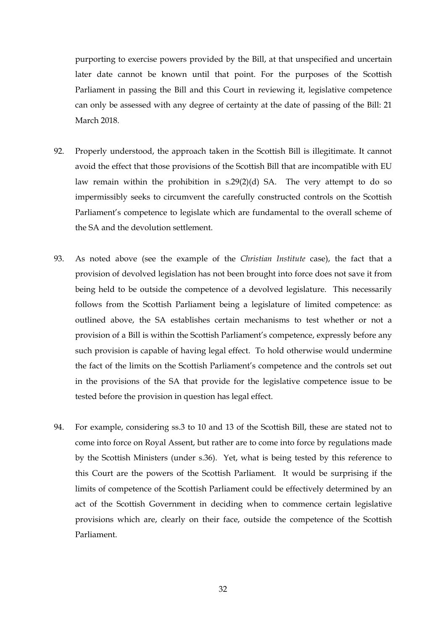purporting to exercise powers provided by the Bill, at that unspecified and uncertain later date cannot be known until that point. For the purposes of the Scottish Parliament in passing the Bill and this Court in reviewing it, legislative competence can only be assessed with any degree of certainty at the date of passing of the Bill: 21 March 2018.

- 92. Properly understood, the approach taken in the Scottish Bill is illegitimate. It cannot avoid the effect that those provisions of the Scottish Bill that are incompatible with EU law remain within the prohibition in s.29(2)(d) SA. The very attempt to do so impermissibly seeks to circumvent the carefully constructed controls on the Scottish Parliament's competence to legislate which are fundamental to the overall scheme of the SA and the devolution settlement.
- 93. As noted above (see the example of the *Christian Institute* case), the fact that a provision of devolved legislation has not been brought into force does not save it from being held to be outside the competence of a devolved legislature. This necessarily follows from the Scottish Parliament being a legislature of limited competence: as outlined above, the SA establishes certain mechanisms to test whether or not a provision of a Bill is within the Scottish Parliament's competence, expressly before any such provision is capable of having legal effect. To hold otherwise would undermine the fact of the limits on the Scottish Parliament's competence and the controls set out in the provisions of the SA that provide for the legislative competence issue to be tested before the provision in question has legal effect.
- 94. For example, considering ss.3 to 10 and 13 of the Scottish Bill, these are stated not to come into force on Royal Assent, but rather are to come into force by regulations made by the Scottish Ministers (under s.36). Yet, what is being tested by this reference to this Court are the powers of the Scottish Parliament. It would be surprising if the limits of competence of the Scottish Parliament could be effectively determined by an act of the Scottish Government in deciding when to commence certain legislative provisions which are, clearly on their face, outside the competence of the Scottish Parliament.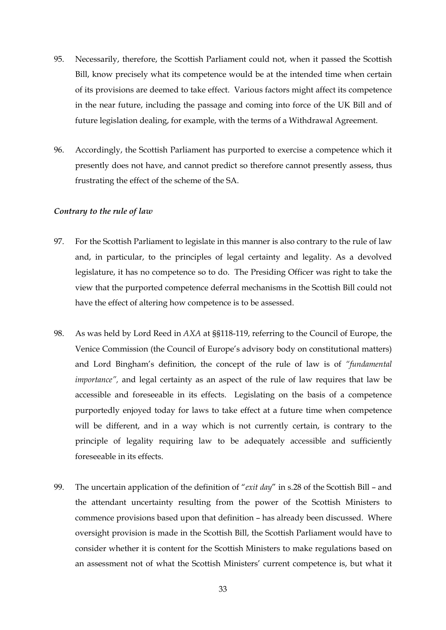- 95. Necessarily, therefore, the Scottish Parliament could not, when it passed the Scottish Bill, know precisely what its competence would be at the intended time when certain of its provisions are deemed to take effect. Various factors might affect its competence in the near future, including the passage and coming into force of the UK Bill and of future legislation dealing, for example, with the terms of a Withdrawal Agreement.
- 96. Accordingly, the Scottish Parliament has purported to exercise a competence which it presently does not have, and cannot predict so therefore cannot presently assess, thus frustrating the effect of the scheme of the SA.

#### *Contrary to the rule of law*

- 97. For the Scottish Parliament to legislate in this manner is also contrary to the rule of law and, in particular, to the principles of legal certainty and legality. As a devolved legislature, it has no competence so to do. The Presiding Officer was right to take the view that the purported competence deferral mechanisms in the Scottish Bill could not have the effect of altering how competence is to be assessed.
- 98. As was held by Lord Reed in *AXA* at §§118-119, referring to the Council of Europe, the Venice Commission (the Council of Europe's advisory body on constitutional matters) and Lord Bingham's definition, the concept of the rule of law is of *"fundamental importance",* and legal certainty as an aspect of the rule of law requires that law be accessible and foreseeable in its effects. Legislating on the basis of a competence purportedly enjoyed today for laws to take effect at a future time when competence will be different, and in a way which is not currently certain, is contrary to the principle of legality requiring law to be adequately accessible and sufficiently foreseeable in its effects.
- 99. The uncertain application of the definition of "*exit day*" in s.28 of the Scottish Bill and the attendant uncertainty resulting from the power of the Scottish Ministers to commence provisions based upon that definition – has already been discussed. Where oversight provision is made in the Scottish Bill, the Scottish Parliament would have to consider whether it is content for the Scottish Ministers to make regulations based on an assessment not of what the Scottish Ministers' current competence is, but what it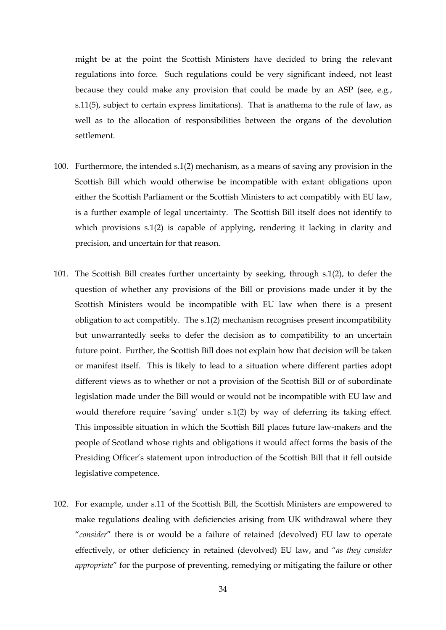might be at the point the Scottish Ministers have decided to bring the relevant regulations into force. Such regulations could be very significant indeed, not least because they could make any provision that could be made by an ASP (see, e.g., s.11(5), subject to certain express limitations). That is anathema to the rule of law, as well as to the allocation of responsibilities between the organs of the devolution settlement.

- 100. Furthermore, the intended s.1(2) mechanism, as a means of saving any provision in the Scottish Bill which would otherwise be incompatible with extant obligations upon either the Scottish Parliament or the Scottish Ministers to act compatibly with EU law, is a further example of legal uncertainty. The Scottish Bill itself does not identify to which provisions s.1(2) is capable of applying, rendering it lacking in clarity and precision, and uncertain for that reason.
- 101. The Scottish Bill creates further uncertainty by seeking, through s.1(2), to defer the question of whether any provisions of the Bill or provisions made under it by the Scottish Ministers would be incompatible with EU law when there is a present obligation to act compatibly. The s.1(2) mechanism recognises present incompatibility but unwarrantedly seeks to defer the decision as to compatibility to an uncertain future point. Further, the Scottish Bill does not explain how that decision will be taken or manifest itself. This is likely to lead to a situation where different parties adopt different views as to whether or not a provision of the Scottish Bill or of subordinate legislation made under the Bill would or would not be incompatible with EU law and would therefore require 'saving' under s.1(2) by way of deferring its taking effect. This impossible situation in which the Scottish Bill places future law-makers and the people of Scotland whose rights and obligations it would affect forms the basis of the Presiding Officer's statement upon introduction of the Scottish Bill that it fell outside legislative competence.
- 102. For example, under s.11 of the Scottish Bill, the Scottish Ministers are empowered to make regulations dealing with deficiencies arising from UK withdrawal where they "*consider*" there is or would be a failure of retained (devolved) EU law to operate effectively, or other deficiency in retained (devolved) EU law, and "*as they consider appropriate*" for the purpose of preventing, remedying or mitigating the failure or other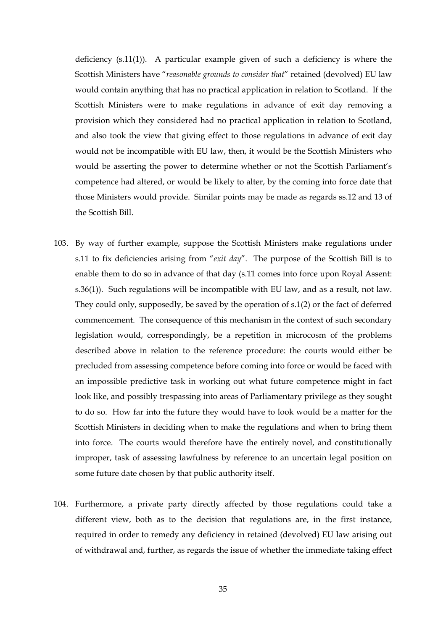deficiency (s.11(1)). A particular example given of such a deficiency is where the Scottish Ministers have "*reasonable grounds to consider that*" retained (devolved) EU law would contain anything that has no practical application in relation to Scotland. If the Scottish Ministers were to make regulations in advance of exit day removing a provision which they considered had no practical application in relation to Scotland, and also took the view that giving effect to those regulations in advance of exit day would not be incompatible with EU law, then, it would be the Scottish Ministers who would be asserting the power to determine whether or not the Scottish Parliament's competence had altered, or would be likely to alter, by the coming into force date that those Ministers would provide. Similar points may be made as regards ss.12 and 13 of the Scottish Bill.

- 103. By way of further example, suppose the Scottish Ministers make regulations under s.11 to fix deficiencies arising from "*exit day*". The purpose of the Scottish Bill is to enable them to do so in advance of that day (s.11 comes into force upon Royal Assent: s.36(1)). Such regulations will be incompatible with EU law, and as a result, not law. They could only, supposedly, be saved by the operation of s.1(2) or the fact of deferred commencement. The consequence of this mechanism in the context of such secondary legislation would, correspondingly, be a repetition in microcosm of the problems described above in relation to the reference procedure: the courts would either be precluded from assessing competence before coming into force or would be faced with an impossible predictive task in working out what future competence might in fact look like, and possibly trespassing into areas of Parliamentary privilege as they sought to do so. How far into the future they would have to look would be a matter for the Scottish Ministers in deciding when to make the regulations and when to bring them into force. The courts would therefore have the entirely novel, and constitutionally improper, task of assessing lawfulness by reference to an uncertain legal position on some future date chosen by that public authority itself.
- 104. Furthermore, a private party directly affected by those regulations could take a different view, both as to the decision that regulations are, in the first instance, required in order to remedy any deficiency in retained (devolved) EU law arising out of withdrawal and, further, as regards the issue of whether the immediate taking effect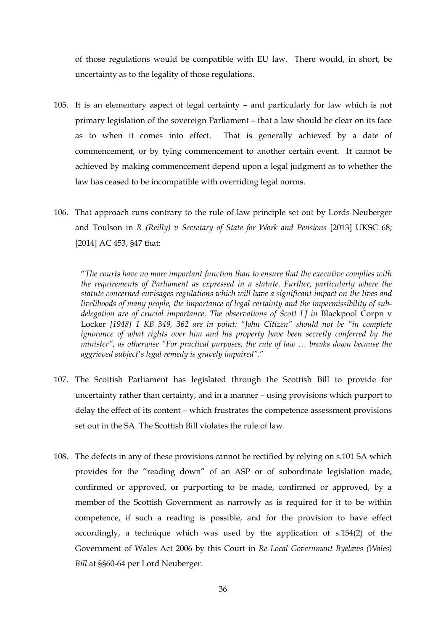of those regulations would be compatible with EU law. There would, in short, be uncertainty as to the legality of those regulations.

- 105. It is an elementary aspect of legal certainty and particularly for law which is not primary legislation of the sovereign Parliament – that a law should be clear on its face as to when it comes into effect. That is generally achieved by a date of commencement, or by tying commencement to another certain event. It cannot be achieved by making commencement depend upon a legal judgment as to whether the law has ceased to be incompatible with overriding legal norms.
- 106. That approach runs contrary to the rule of law principle set out by Lords Neuberger and Toulson in *R (Reilly) v Secretary of State for Work and Pensions* [2013] UKSC 68; [2014] AC 453, §47 that:

"*The courts have no more important function than to ensure that the executive complies with the requirements of Parliament as expressed in a statute. Further, particularly where the statute concerned envisages regulations which will have a significant impact on the lives and livelihoods of many people, the importance of legal certainty and the impermissibility of subdelegation are of crucial importance. The observations of Scott LJ in* Blackpool Corpn v Locker *[1948] 1 KB 349, 362 are in point: "John Citizen" should not be "in complete ignorance of what rights over him and his property have been secretly conferred by the minister", as otherwise "For practical purposes, the rule of law … breaks down because the aggrieved subject's legal remedy is gravely impaired".*"

- 107. The Scottish Parliament has legislated through the Scottish Bill to provide for uncertainty rather than certainty, and in a manner – using provisions which purport to delay the effect of its content – which frustrates the competence assessment provisions set out in the SA. The Scottish Bill violates the rule of law.
- 108. The defects in any of these provisions cannot be rectified by relying on s.101 SA which provides for the "reading down" of an ASP or of subordinate legislation made, confirmed or approved, or purporting to be made, confirmed or approved, by a member of the Scottish Government as narrowly as is required for it to be within competence, if such a reading is possible, and for the provision to have effect accordingly, a technique which was used by the application of s.154(2) of the Government of Wales Act 2006 by this Court in *Re Local Government Byelaws (Wales) Bill* at §§60-64 per Lord Neuberger.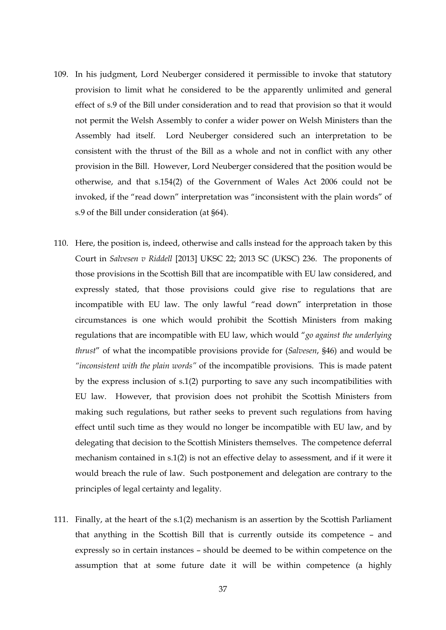- 109. In his judgment, Lord Neuberger considered it permissible to invoke that statutory provision to limit what he considered to be the apparently unlimited and general effect of s.9 of the Bill under consideration and to read that provision so that it would not permit the Welsh Assembly to confer a wider power on Welsh Ministers than the Assembly had itself. Lord Neuberger considered such an interpretation to be consistent with the thrust of the Bill as a whole and not in conflict with any other provision in the Bill. However, Lord Neuberger considered that the position would be otherwise, and that s.154(2) of the Government of Wales Act 2006 could not be invoked, if the "read down" interpretation was "inconsistent with the plain words" of s.9 of the Bill under consideration (at §64).
- 110. Here, the position is, indeed, otherwise and calls instead for the approach taken by this Court in *Salvesen v Riddell* [2013] UKSC 22; 2013 SC (UKSC) 236. The proponents of those provisions in the Scottish Bill that are incompatible with EU law considered, and expressly stated, that those provisions could give rise to regulations that are incompatible with EU law. The only lawful "read down" interpretation in those circumstances is one which would prohibit the Scottish Ministers from making regulations that are incompatible with EU law, which would "*go against the underlying thrust*" of what the incompatible provisions provide for (*Salvesen*, §46) and would be *"inconsistent with the plain words"* of the incompatible provisions. This is made patent by the express inclusion of s.1(2) purporting to save any such incompatibilities with EU law. However, that provision does not prohibit the Scottish Ministers from making such regulations, but rather seeks to prevent such regulations from having effect until such time as they would no longer be incompatible with EU law, and by delegating that decision to the Scottish Ministers themselves. The competence deferral mechanism contained in s.1(2) is not an effective delay to assessment, and if it were it would breach the rule of law. Such postponement and delegation are contrary to the principles of legal certainty and legality.
- 111. Finally, at the heart of the s.1(2) mechanism is an assertion by the Scottish Parliament that anything in the Scottish Bill that is currently outside its competence – and expressly so in certain instances – should be deemed to be within competence on the assumption that at some future date it will be within competence (a highly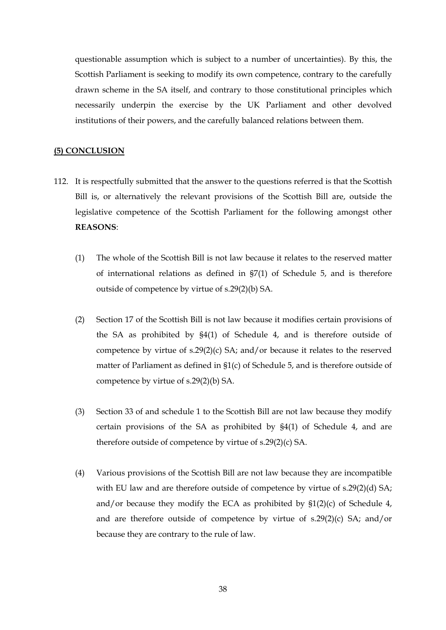questionable assumption which is subject to a number of uncertainties). By this, the Scottish Parliament is seeking to modify its own competence, contrary to the carefully drawn scheme in the SA itself, and contrary to those constitutional principles which necessarily underpin the exercise by the UK Parliament and other devolved institutions of their powers, and the carefully balanced relations between them.

#### **(5) CONCLUSION**

- 112. It is respectfully submitted that the answer to the questions referred is that the Scottish Bill is, or alternatively the relevant provisions of the Scottish Bill are, outside the legislative competence of the Scottish Parliament for the following amongst other **REASONS**:
	- (1) The whole of the Scottish Bill is not law because it relates to the reserved matter of international relations as defined in §7(1) of Schedule 5, and is therefore outside of competence by virtue of s.29(2)(b) SA.
	- (2) Section 17 of the Scottish Bill is not law because it modifies certain provisions of the SA as prohibited by §4(1) of Schedule 4, and is therefore outside of competence by virtue of s.29(2)(c) SA; and/or because it relates to the reserved matter of Parliament as defined in §1(c) of Schedule 5, and is therefore outside of competence by virtue of s.29(2)(b) SA.
	- (3) Section 33 of and schedule 1 to the Scottish Bill are not law because they modify certain provisions of the SA as prohibited by §4(1) of Schedule 4, and are therefore outside of competence by virtue of s.29(2)(c) SA.
	- (4) Various provisions of the Scottish Bill are not law because they are incompatible with EU law and are therefore outside of competence by virtue of s.29(2)(d) SA; and/or because they modify the ECA as prohibited by  $$1(2)(c)$  of Schedule 4, and are therefore outside of competence by virtue of s.29(2)(c) SA; and/or because they are contrary to the rule of law.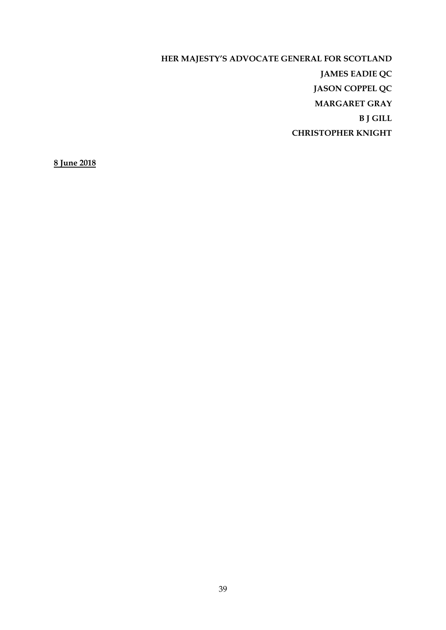**HER MAJESTY'S ADVOCATE GENERAL FOR SCOTLAND JAMES EADIE QC JASON COPPEL QC MARGARET GRAY B J GILL CHRISTOPHER KNIGHT** 

**8 June 2018**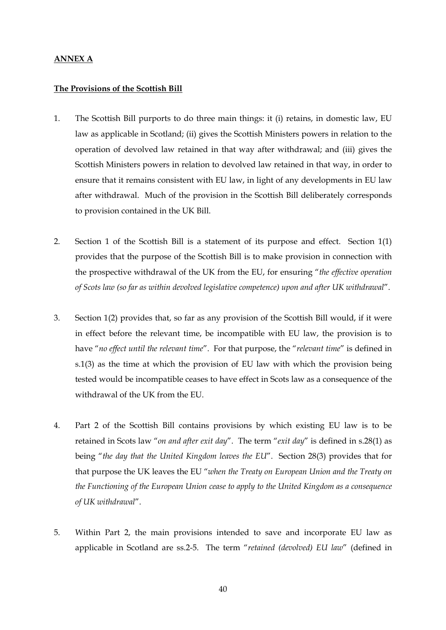## **ANNEX A**

#### **The Provisions of the Scottish Bill**

- 1. The Scottish Bill purports to do three main things: it (i) retains, in domestic law, EU law as applicable in Scotland; (ii) gives the Scottish Ministers powers in relation to the operation of devolved law retained in that way after withdrawal; and (iii) gives the Scottish Ministers powers in relation to devolved law retained in that way, in order to ensure that it remains consistent with EU law, in light of any developments in EU law after withdrawal. Much of the provision in the Scottish Bill deliberately corresponds to provision contained in the UK Bill.
- 2. Section 1 of the Scottish Bill is a statement of its purpose and effect. Section 1(1) provides that the purpose of the Scottish Bill is to make provision in connection with the prospective withdrawal of the UK from the EU, for ensuring "*the effective operation of Scots law (so far as within devolved legislative competence) upon and after UK withdrawal*".
- 3. Section 1(2) provides that, so far as any provision of the Scottish Bill would, if it were in effect before the relevant time, be incompatible with EU law, the provision is to have "*no effect until the relevant time*". For that purpose, the "*relevant time*" is defined in s.1(3) as the time at which the provision of EU law with which the provision being tested would be incompatible ceases to have effect in Scots law as a consequence of the withdrawal of the UK from the EU.
- 4. Part 2 of the Scottish Bill contains provisions by which existing EU law is to be retained in Scots law "*on and after exit day*". The term "*exit day*" is defined in s.28(1) as being "*the day that the United Kingdom leaves the EU*". Section 28(3) provides that for that purpose the UK leaves the EU "*when the Treaty on European Union and the Treaty on the Functioning of the European Union cease to apply to the United Kingdom as a consequence of UK withdrawal*".
- 5. Within Part 2, the main provisions intended to save and incorporate EU law as applicable in Scotland are ss.2-5. The term "*retained (devolved) EU law*" (defined in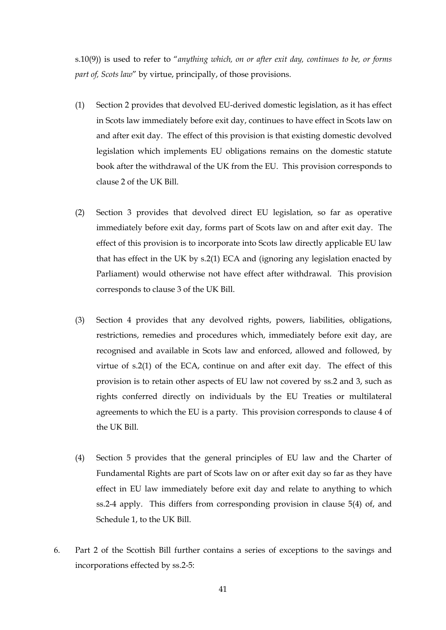s.10(9)) is used to refer to "*anything which, on or after exit day, continues to be, or forms part of, Scots law*" by virtue, principally, of those provisions.

- (1) Section 2 provides that devolved EU-derived domestic legislation, as it has effect in Scots law immediately before exit day, continues to have effect in Scots law on and after exit day. The effect of this provision is that existing domestic devolved legislation which implements EU obligations remains on the domestic statute book after the withdrawal of the UK from the EU. This provision corresponds to clause 2 of the UK Bill.
- (2) Section 3 provides that devolved direct EU legislation, so far as operative immediately before exit day, forms part of Scots law on and after exit day. The effect of this provision is to incorporate into Scots law directly applicable EU law that has effect in the UK by s.2(1) ECA and (ignoring any legislation enacted by Parliament) would otherwise not have effect after withdrawal. This provision corresponds to clause 3 of the UK Bill.
- (3) Section 4 provides that any devolved rights, powers, liabilities, obligations, restrictions, remedies and procedures which, immediately before exit day, are recognised and available in Scots law and enforced, allowed and followed, by virtue of s.2(1) of the ECA, continue on and after exit day. The effect of this provision is to retain other aspects of EU law not covered by ss.2 and 3, such as rights conferred directly on individuals by the EU Treaties or multilateral agreements to which the EU is a party. This provision corresponds to clause 4 of the UK Bill.
- (4) Section 5 provides that the general principles of EU law and the Charter of Fundamental Rights are part of Scots law on or after exit day so far as they have effect in EU law immediately before exit day and relate to anything to which ss.2-4 apply. This differs from corresponding provision in clause 5(4) of, and Schedule 1, to the UK Bill.
- 6. Part 2 of the Scottish Bill further contains a series of exceptions to the savings and incorporations effected by ss.2-5: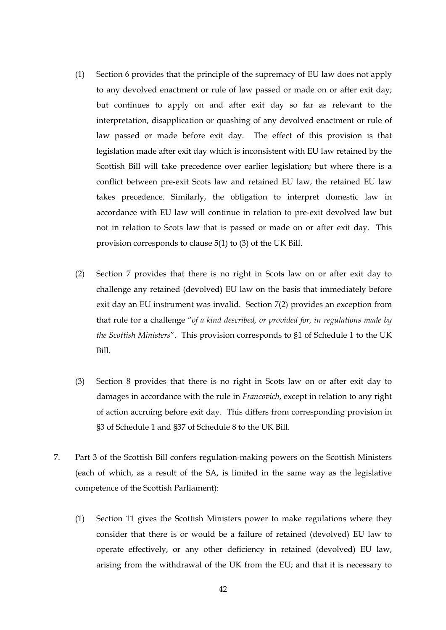- (1) Section 6 provides that the principle of the supremacy of EU law does not apply to any devolved enactment or rule of law passed or made on or after exit day; but continues to apply on and after exit day so far as relevant to the interpretation, disapplication or quashing of any devolved enactment or rule of law passed or made before exit day. The effect of this provision is that legislation made after exit day which is inconsistent with EU law retained by the Scottish Bill will take precedence over earlier legislation; but where there is a conflict between pre-exit Scots law and retained EU law, the retained EU law takes precedence. Similarly, the obligation to interpret domestic law in accordance with EU law will continue in relation to pre-exit devolved law but not in relation to Scots law that is passed or made on or after exit day. This provision corresponds to clause 5(1) to (3) of the UK Bill.
- (2) Section 7 provides that there is no right in Scots law on or after exit day to challenge any retained (devolved) EU law on the basis that immediately before exit day an EU instrument was invalid. Section 7(2) provides an exception from that rule for a challenge "*of a kind described, or provided for, in regulations made by the Scottish Ministers*". This provision corresponds to §1 of Schedule 1 to the UK Bill.
- (3) Section 8 provides that there is no right in Scots law on or after exit day to damages in accordance with the rule in *Francovich*, except in relation to any right of action accruing before exit day. This differs from corresponding provision in §3 of Schedule 1 and §37 of Schedule 8 to the UK Bill.
- 7. Part 3 of the Scottish Bill confers regulation-making powers on the Scottish Ministers (each of which, as a result of the SA, is limited in the same way as the legislative competence of the Scottish Parliament):
	- (1) Section 11 gives the Scottish Ministers power to make regulations where they consider that there is or would be a failure of retained (devolved) EU law to operate effectively, or any other deficiency in retained (devolved) EU law, arising from the withdrawal of the UK from the EU; and that it is necessary to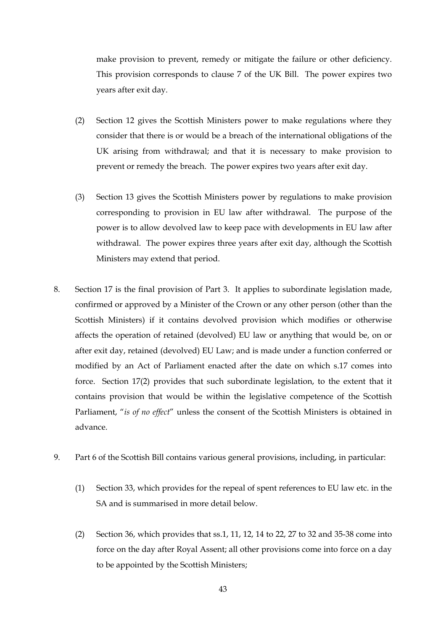make provision to prevent, remedy or mitigate the failure or other deficiency. This provision corresponds to clause 7 of the UK Bill. The power expires two years after exit day.

- (2) Section 12 gives the Scottish Ministers power to make regulations where they consider that there is or would be a breach of the international obligations of the UK arising from withdrawal; and that it is necessary to make provision to prevent or remedy the breach. The power expires two years after exit day.
- (3) Section 13 gives the Scottish Ministers power by regulations to make provision corresponding to provision in EU law after withdrawal. The purpose of the power is to allow devolved law to keep pace with developments in EU law after withdrawal. The power expires three years after exit day, although the Scottish Ministers may extend that period.
- 8. Section 17 is the final provision of Part 3. It applies to subordinate legislation made, confirmed or approved by a Minister of the Crown or any other person (other than the Scottish Ministers) if it contains devolved provision which modifies or otherwise affects the operation of retained (devolved) EU law or anything that would be, on or after exit day, retained (devolved) EU Law; and is made under a function conferred or modified by an Act of Parliament enacted after the date on which s.17 comes into force. Section 17(2) provides that such subordinate legislation, to the extent that it contains provision that would be within the legislative competence of the Scottish Parliament, "*is of no effect*" unless the consent of the Scottish Ministers is obtained in advance.
- 9. Part 6 of the Scottish Bill contains various general provisions, including, in particular:
	- (1) Section 33, which provides for the repeal of spent references to EU law etc. in the SA and is summarised in more detail below.
	- (2) Section 36, which provides that ss.1, 11, 12, 14 to 22, 27 to 32 and 35-38 come into force on the day after Royal Assent; all other provisions come into force on a day to be appointed by the Scottish Ministers;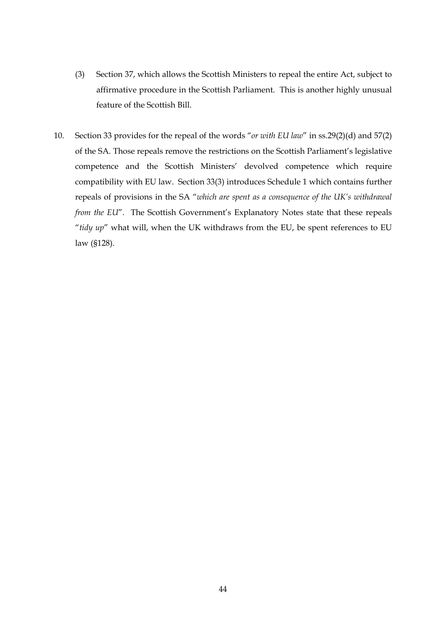- (3) Section 37, which allows the Scottish Ministers to repeal the entire Act, subject to affirmative procedure in the Scottish Parliament. This is another highly unusual feature of the Scottish Bill.
- 10. Section 33 provides for the repeal of the words "*or with EU law*" in ss.29(2)(d) and 57(2) of the SA. Those repeals remove the restrictions on the Scottish Parliament's legislative competence and the Scottish Ministers' devolved competence which require compatibility with EU law. Section 33(3) introduces Schedule 1 which contains further repeals of provisions in the SA "*which are spent as a consequence of the UK's withdrawal from the EU*". The Scottish Government's Explanatory Notes state that these repeals "*tidy up*" what will, when the UK withdraws from the EU, be spent references to EU law (§128).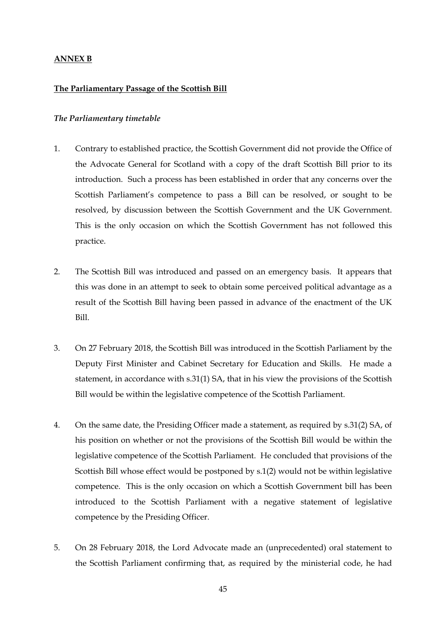## **ANNEX B**

#### **The Parliamentary Passage of the Scottish Bill**

#### *The Parliamentary timetable*

- 1. Contrary to established practice, the Scottish Government did not provide the Office of the Advocate General for Scotland with a copy of the draft Scottish Bill prior to its introduction. Such a process has been established in order that any concerns over the Scottish Parliament's competence to pass a Bill can be resolved, or sought to be resolved, by discussion between the Scottish Government and the UK Government. This is the only occasion on which the Scottish Government has not followed this practice.
- 2. The Scottish Bill was introduced and passed on an emergency basis. It appears that this was done in an attempt to seek to obtain some perceived political advantage as a result of the Scottish Bill having been passed in advance of the enactment of the UK Bill.
- 3. On 27 February 2018, the Scottish Bill was introduced in the Scottish Parliament by the Deputy First Minister and Cabinet Secretary for Education and Skills. He made a statement, in accordance with s.31(1) SA, that in his view the provisions of the Scottish Bill would be within the legislative competence of the Scottish Parliament.
- 4. On the same date, the Presiding Officer made a statement, as required by s.31(2) SA, of his position on whether or not the provisions of the Scottish Bill would be within the legislative competence of the Scottish Parliament. He concluded that provisions of the Scottish Bill whose effect would be postponed by s.1(2) would not be within legislative competence. This is the only occasion on which a Scottish Government bill has been introduced to the Scottish Parliament with a negative statement of legislative competence by the Presiding Officer.
- 5. On 28 February 2018, the Lord Advocate made an (unprecedented) oral statement to the Scottish Parliament confirming that, as required by the ministerial code, he had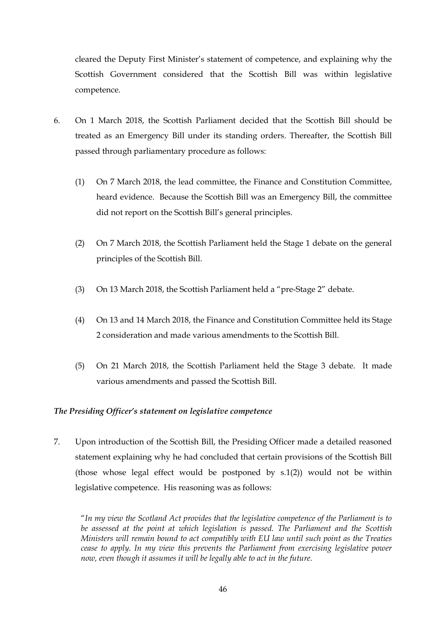cleared the Deputy First Minister's statement of competence, and explaining why the Scottish Government considered that the Scottish Bill was within legislative competence.

- 6. On 1 March 2018, the Scottish Parliament decided that the Scottish Bill should be treated as an Emergency Bill under its standing orders. Thereafter, the Scottish Bill passed through parliamentary procedure as follows:
	- (1) On 7 March 2018, the lead committee, the Finance and Constitution Committee, heard evidence. Because the Scottish Bill was an Emergency Bill, the committee did not report on the Scottish Bill's general principles.
	- (2) On 7 March 2018, the Scottish Parliament held the Stage 1 debate on the general principles of the Scottish Bill.
	- (3) On 13 March 2018, the Scottish Parliament held a "pre-Stage 2" debate.
	- (4) On 13 and 14 March 2018, the Finance and Constitution Committee held its Stage 2 consideration and made various amendments to the Scottish Bill.
	- (5) On 21 March 2018, the Scottish Parliament held the Stage 3 debate. It made various amendments and passed the Scottish Bill.

# *The Presiding Officer's statement on legislative competence*

7. Upon introduction of the Scottish Bill, the Presiding Officer made a detailed reasoned statement explaining why he had concluded that certain provisions of the Scottish Bill (those whose legal effect would be postponed by  $s(1, 2)$ ) would not be within legislative competence. His reasoning was as follows:

"*In my view the Scotland Act provides that the legislative competence of the Parliament is to be assessed at the point at which legislation is passed. The Parliament and the Scottish Ministers will remain bound to act compatibly with EU law until such point as the Treaties cease to apply. In my view this prevents the Parliament from exercising legislative power now, even though it assumes it will be legally able to act in the future.*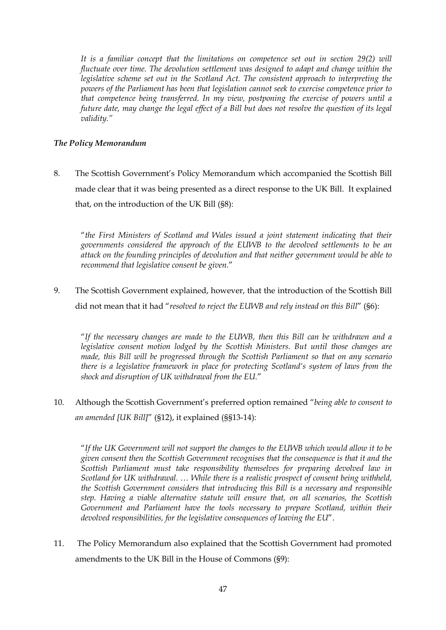It is a familiar concept that the limitations on competence set out in section 29(2) will *fluctuate over time. The devolution settlement was designed to adapt and change within the legislative scheme set out in the Scotland Act. The consistent approach to interpreting the powers of the Parliament has been that legislation cannot seek to exercise competence prior to that competence being transferred. In my view, postponing the exercise of powers until a future date, may change the legal effect of a Bill but does not resolve the question of its legal validity."* 

# *The Policy Memorandum*

8. The Scottish Government's Policy Memorandum which accompanied the Scottish Bill made clear that it was being presented as a direct response to the UK Bill. It explained that, on the introduction of the UK Bill (§8):

"*the First Ministers of Scotland and Wales issued a joint statement indicating that their governments considered the approach of the EUWB to the devolved settlements to be an attack on the founding principles of devolution and that neither government would be able to recommend that legislative consent be given.*"

9. The Scottish Government explained, however, that the introduction of the Scottish Bill did not mean that it had "*resolved to reject the EUWB and rely instead on this Bill*" (§6):

"*If the necessary changes are made to the EUWB, then this Bill can be withdrawn and a legislative consent motion lodged by the Scottish Ministers. But until those changes are made, this Bill will be progressed through the Scottish Parliament so that on any scenario there is a legislative framework in place for protecting Scotland's system of laws from the shock and disruption of UK withdrawal from the EU.*"

10. Although the Scottish Government's preferred option remained "*being able to consent to an amended [UK Bill]*" (§12), it explained (§§13-14):

"*If the UK Government will not support the changes to the EUWB which would allow it to be given consent then the Scottish Government recognises that the consequence is that it and the Scottish Parliament must take responsibility themselves for preparing devolved law in Scotland for UK withdrawal. … While there is a realistic prospect of consent being withheld, the Scottish Government considers that introducing this Bill is a necessary and responsible step. Having a viable alternative statute will ensure that, on all scenarios, the Scottish Government and Parliament have the tools necessary to prepare Scotland, within their devolved responsibilities, for the legislative consequences of leaving the EU*".

11. The Policy Memorandum also explained that the Scottish Government had promoted amendments to the UK Bill in the House of Commons (§9):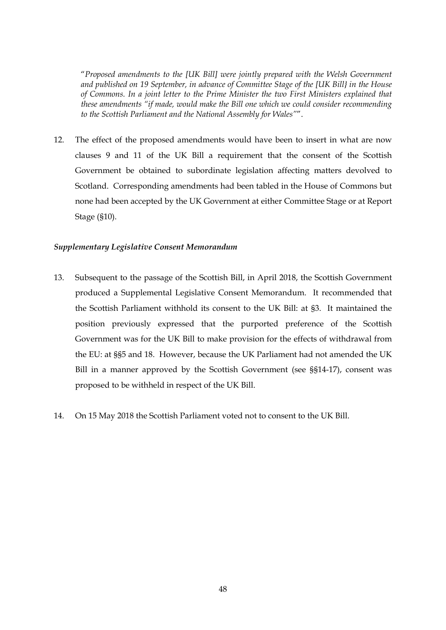"*Proposed amendments to the [UK Bill] were jointly prepared with the Welsh Government and published on 19 September, in advance of Committee Stage of the [UK Bill} in the House of Commons. In a joint letter to the Prime Minister the two First Ministers explained that these amendments "if made, would make the Bill one which we could consider recommending to the Scottish Parliament and the National Assembly for Wales"*".

12. The effect of the proposed amendments would have been to insert in what are now clauses 9 and 11 of the UK Bill a requirement that the consent of the Scottish Government be obtained to subordinate legislation affecting matters devolved to Scotland. Corresponding amendments had been tabled in the House of Commons but none had been accepted by the UK Government at either Committee Stage or at Report Stage (§10).

#### *Supplementary Legislative Consent Memorandum*

- 13. Subsequent to the passage of the Scottish Bill, in April 2018, the Scottish Government produced a Supplemental Legislative Consent Memorandum. It recommended that the Scottish Parliament withhold its consent to the UK Bill: at §3. It maintained the position previously expressed that the purported preference of the Scottish Government was for the UK Bill to make provision for the effects of withdrawal from the EU: at §§5 and 18. However, because the UK Parliament had not amended the UK Bill in a manner approved by the Scottish Government (see §§14-17), consent was proposed to be withheld in respect of the UK Bill.
- 14. On 15 May 2018 the Scottish Parliament voted not to consent to the UK Bill.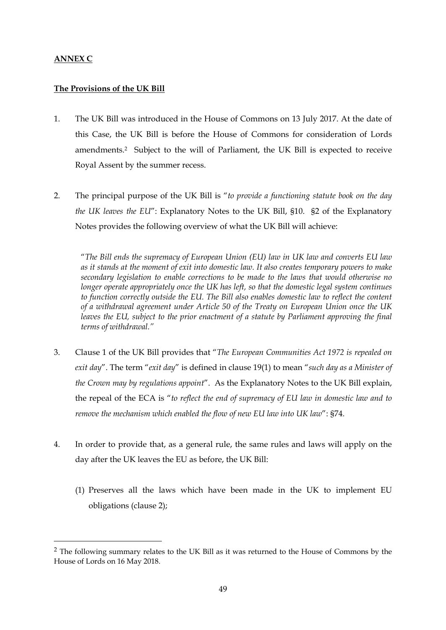# **ANNEX C**

-

# **The Provisions of the UK Bill**

- 1. The UK Bill was introduced in the House of Commons on 13 July 2017. At the date of this Case, the UK Bill is before the House of Commons for consideration of Lords amendments.2 Subject to the will of Parliament, the UK Bill is expected to receive Royal Assent by the summer recess.
- 2. The principal purpose of the UK Bill is "*to provide a functioning statute book on the day the UK leaves the EU*": Explanatory Notes to the UK Bill, §10. §2 of the Explanatory Notes provides the following overview of what the UK Bill will achieve:

"*The Bill ends the supremacy of European Union (EU) law in UK law and converts EU law as it stands at the moment of exit into domestic law. It also creates temporary powers to make secondary legislation to enable corrections to be made to the laws that would otherwise no longer operate appropriately once the UK has left, so that the domestic legal system continues to function correctly outside the EU. The Bill also enables domestic law to reflect the content of a withdrawal agreement under Article 50 of the Treaty on European Union once the UK leaves the EU, subject to the prior enactment of a statute by Parliament approving the final terms of withdrawal."*

- 3. Clause 1 of the UK Bill provides that "*The European Communities Act 1972 is repealed on exit day*". The term "*exit day*" is defined in clause 19(1) to mean "*such day as a Minister of the Crown may by regulations appoint*". As the Explanatory Notes to the UK Bill explain, the repeal of the ECA is "*to reflect the end of supremacy of EU law in domestic law and to remove the mechanism which enabled the flow of new EU law into UK law*": §74.
- 4. In order to provide that, as a general rule, the same rules and laws will apply on the day after the UK leaves the EU as before, the UK Bill:
	- (1) Preserves all the laws which have been made in the UK to implement EU obligations (clause 2);

<sup>&</sup>lt;sup>2</sup> The following summary relates to the UK Bill as it was returned to the House of Commons by the House of Lords on 16 May 2018.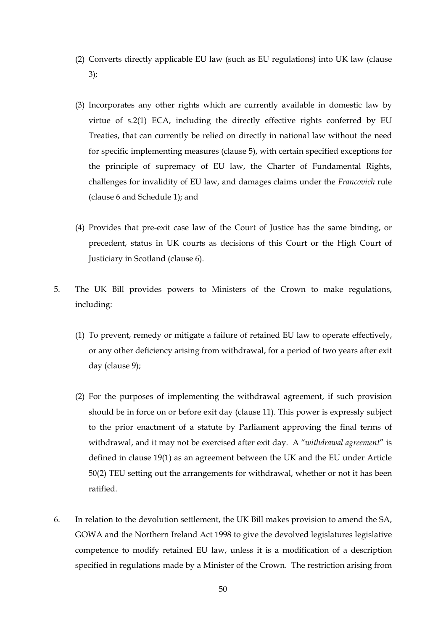- (2) Converts directly applicable EU law (such as EU regulations) into UK law (clause 3);
- (3) Incorporates any other rights which are currently available in domestic law by virtue of s.2(1) ECA, including the directly effective rights conferred by EU Treaties, that can currently be relied on directly in national law without the need for specific implementing measures (clause 5), with certain specified exceptions for the principle of supremacy of EU law, the Charter of Fundamental Rights, challenges for invalidity of EU law, and damages claims under the *Francovich* rule (clause 6 and Schedule 1); and
- (4) Provides that pre-exit case law of the Court of Justice has the same binding, or precedent, status in UK courts as decisions of this Court or the High Court of Justiciary in Scotland (clause 6).
- 5. The UK Bill provides powers to Ministers of the Crown to make regulations, including:
	- (1) To prevent, remedy or mitigate a failure of retained EU law to operate effectively, or any other deficiency arising from withdrawal, for a period of two years after exit day (clause 9);
	- (2) For the purposes of implementing the withdrawal agreement, if such provision should be in force on or before exit day (clause 11). This power is expressly subject to the prior enactment of a statute by Parliament approving the final terms of withdrawal, and it may not be exercised after exit day. A "*withdrawal agreement*" is defined in clause 19(1) as an agreement between the UK and the EU under Article 50(2) TEU setting out the arrangements for withdrawal, whether or not it has been ratified.
- 6. In relation to the devolution settlement, the UK Bill makes provision to amend the SA, GOWA and the Northern Ireland Act 1998 to give the devolved legislatures legislative competence to modify retained EU law, unless it is a modification of a description specified in regulations made by a Minister of the Crown. The restriction arising from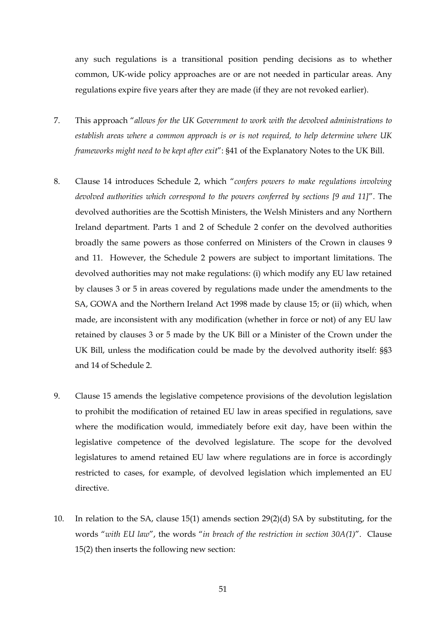any such regulations is a transitional position pending decisions as to whether common, UK-wide policy approaches are or are not needed in particular areas. Any regulations expire five years after they are made (if they are not revoked earlier).

- 7. This approach "*allows for the UK Government to work with the devolved administrations to establish areas where a common approach is or is not required, to help determine where UK frameworks might need to be kept after exit*": §41 of the Explanatory Notes to the UK Bill.
- 8. Clause 14 introduces Schedule 2, which "*confers powers to make regulations involving devolved authorities which correspond to the powers conferred by sections [9 and 11]*". The devolved authorities are the Scottish Ministers, the Welsh Ministers and any Northern Ireland department. Parts 1 and 2 of Schedule 2 confer on the devolved authorities broadly the same powers as those conferred on Ministers of the Crown in clauses 9 and 11. However, the Schedule 2 powers are subject to important limitations. The devolved authorities may not make regulations: (i) which modify any EU law retained by clauses 3 or 5 in areas covered by regulations made under the amendments to the SA, GOWA and the Northern Ireland Act 1998 made by clause 15; or (ii) which, when made, are inconsistent with any modification (whether in force or not) of any EU law retained by clauses 3 or 5 made by the UK Bill or a Minister of the Crown under the UK Bill, unless the modification could be made by the devolved authority itself: §§3 and 14 of Schedule 2.
- 9. Clause 15 amends the legislative competence provisions of the devolution legislation to prohibit the modification of retained EU law in areas specified in regulations, save where the modification would, immediately before exit day, have been within the legislative competence of the devolved legislature. The scope for the devolved legislatures to amend retained EU law where regulations are in force is accordingly restricted to cases, for example, of devolved legislation which implemented an EU directive.
- 10. In relation to the SA, clause 15(1) amends section 29(2)(d) SA by substituting, for the words "*with EU law*", the words "*in breach of the restriction in section 30A(1)*". Clause 15(2) then inserts the following new section: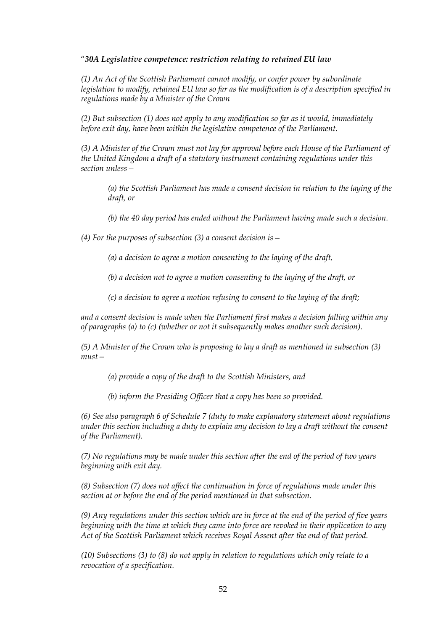## "*30A Legislative competence: restriction relating to retained EU law*

*(1) An Act of the Scottish Parliament cannot modify, or confer power by subordinate legislation to modify, retained EU law so far as the modification is of a description specified in regulations made by a Minister of the Crown* 

*(2) But subsection (1) does not apply to any modification so far as it would, immediately before exit day, have been within the legislative competence of the Parliament.* 

*(3) A Minister of the Crown must not lay for approval before each House of the Parliament of the United Kingdom a draft of a statutory instrument containing regulations under this section unless—* 

*(a) the Scottish Parliament has made a consent decision in relation to the laying of the draft, or* 

*(b) the 40 day period has ended without the Parliament having made such a decision.* 

*(4) For the purposes of subsection (3) a consent decision is—* 

*(a) a decision to agree a motion consenting to the laying of the draft,* 

*(b) a decision not to agree a motion consenting to the laying of the draft, or* 

*(c) a decision to agree a motion refusing to consent to the laying of the draft;* 

*and a consent decision is made when the Parliament first makes a decision falling within any of paragraphs (a) to (c) (whether or not it subsequently makes another such decision).* 

*(5) A Minister of the Crown who is proposing to lay a draft as mentioned in subsection (3) must—* 

*(a) provide a copy of the draft to the Scottish Ministers, and* 

*(b) inform the Presiding Officer that a copy has been so provided.* 

*(6) See also paragraph 6 of Schedule 7 (duty to make explanatory statement about regulations under this section including a duty to explain any decision to lay a draft without the consent of the Parliament).* 

*(7) No regulations may be made under this section after the end of the period of two years beginning with exit day.* 

*(8) Subsection (7) does not affect the continuation in force of regulations made under this section at or before the end of the period mentioned in that subsection.* 

*(9) Any regulations under this section which are in force at the end of the period of five years beginning with the time at which they came into force are revoked in their application to any Act of the Scottish Parliament which receives Royal Assent after the end of that period.* 

*(10) Subsections (3) to (8) do not apply in relation to regulations which only relate to a revocation of a specification.*